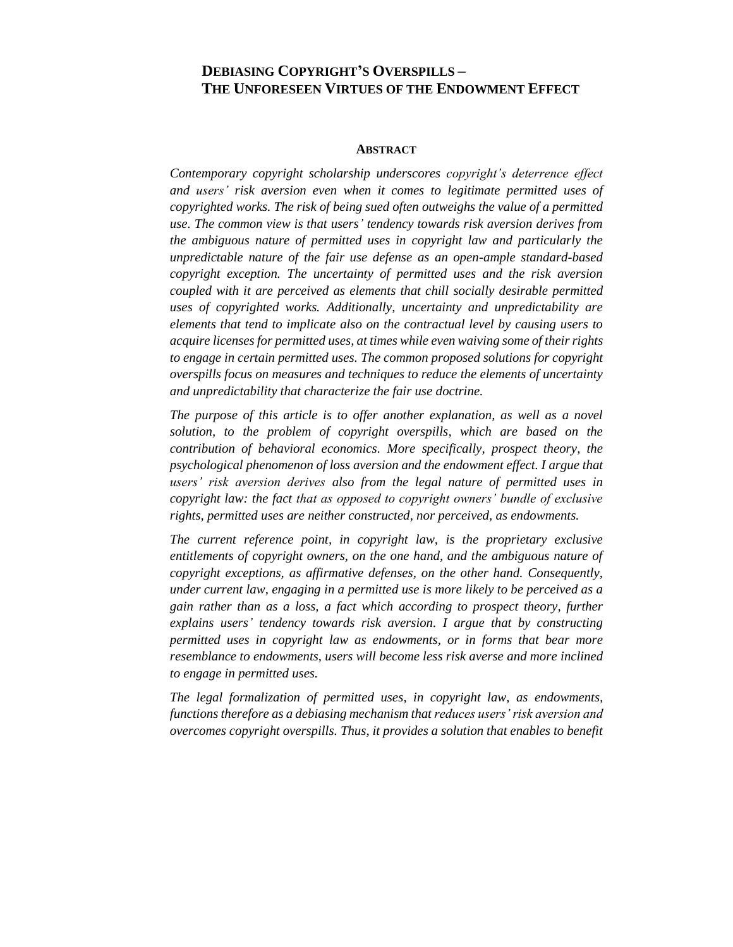# **DEBIASING COPYRIGHT'S OVERSPILLS – THE UNFORESEEN VIRTUES OF THE ENDOWMENT EFFECT**

#### **ABSTRACT**

*Contemporary copyright scholarship underscores copyright's deterrence effect and users' risk aversion even when it comes to legitimate permitted uses of copyrighted works. The risk of being sued often outweighs the value of a permitted use. The common view is that users' tendency towards risk aversion derives from the ambiguous nature of permitted uses in copyright law and particularly the unpredictable nature of the fair use defense as an open-ample standard-based copyright exception. The uncertainty of permitted uses and the risk aversion coupled with it are perceived as elements that chill socially desirable permitted uses of copyrighted works. Additionally, uncertainty and unpredictability are elements that tend to implicate also on the contractual level by causing users to acquire licenses for permitted uses, at times while even waiving some of their rights to engage in certain permitted uses. The common proposed solutions for copyright overspills focus on measures and techniques to reduce the elements of uncertainty and unpredictability that characterize the fair use doctrine.* 

*The purpose of this article is to offer another explanation, as well as a novel solution, to the problem of copyright overspills, which are based on the contribution of behavioral economics. More specifically, prospect theory, the psychological phenomenon of loss aversion and the endowment effect. I argue that users' risk aversion derives also from the legal nature of permitted uses in copyright law: the fact that as opposed to copyright owners' bundle of exclusive rights, permitted uses are neither constructed, nor perceived, as endowments.*

*The current reference point, in copyright law, is the proprietary exclusive entitlements of copyright owners, on the one hand, and the ambiguous nature of copyright exceptions, as affirmative defenses, on the other hand. Consequently, under current law, engaging in a permitted use is more likely to be perceived as a gain rather than as a loss, a fact which according to prospect theory, further explains users' tendency towards risk aversion. I argue that by constructing permitted uses in copyright law as endowments, or in forms that bear more resemblance to endowments, users will become less risk averse and more inclined to engage in permitted uses.*

*The legal formalization of permitted uses, in copyright law, as endowments, functions therefore as a debiasing mechanism that reduces users' risk aversion and overcomes copyright overspills. Thus, it provides a solution that enables to benefit*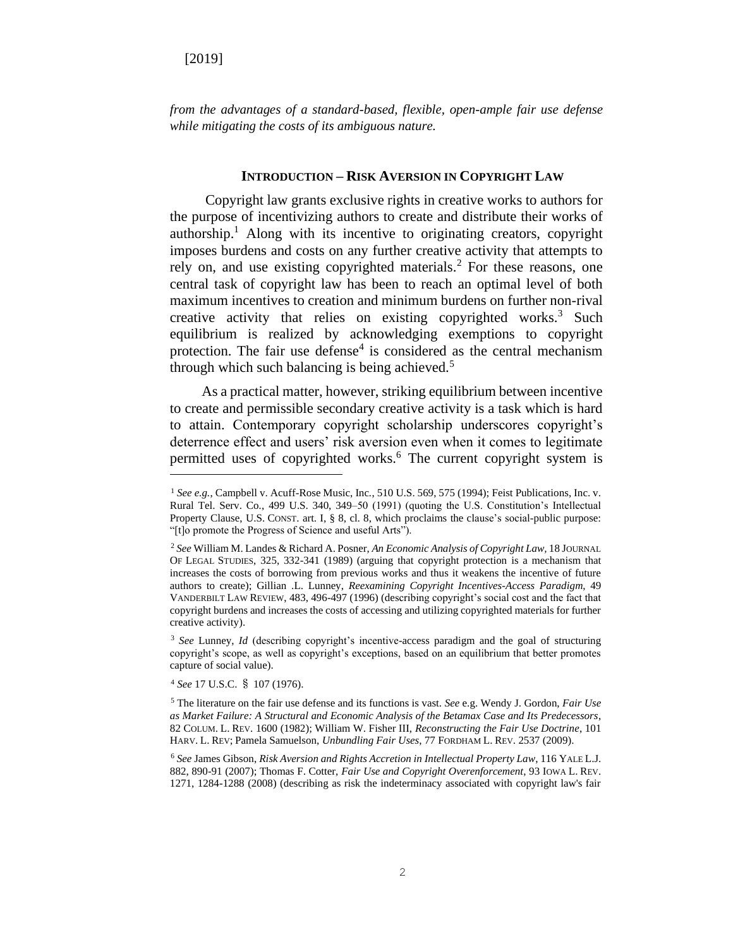*from the advantages of a standard-based, flexible, open-ample fair use defense while mitigating the costs of its ambiguous nature.* 

#### **INTRODUCTION – RISK AVERSION IN COPYRIGHT LAW**

Copyright law grants exclusive rights in creative works to authors for the purpose of incentivizing authors to create and distribute their works of authorship.<sup>1</sup> Along with its incentive to originating creators, copyright imposes burdens and costs on any further creative activity that attempts to rely on, and use existing copyrighted materials.<sup>2</sup> For these reasons, one central task of copyright law has been to reach an optimal level of both maximum incentives to creation and minimum burdens on further non-rival creative activity that relies on existing copyrighted works. $3$  Such equilibrium is realized by acknowledging exemptions to copyright protection. The fair use defense<sup>4</sup> is considered as the central mechanism through which such balancing is being achieved. $5$ 

As a practical matter, however, striking equilibrium between incentive to create and permissible secondary creative activity is a task which is hard to attain. Contemporary copyright scholarship underscores copyright's deterrence effect and users' risk aversion even when it comes to legitimate permitted uses of copyrighted works.<sup>6</sup> The current copyright system is

<sup>4</sup> *See* 17 U.S.C. § 107 (1976).

<sup>1</sup> *See e.g.*, Campbell v. Acuff-Rose Music, Inc*.*, 510 U.S. 569, 575 (1994); Feist Publications, Inc. v. Rural Tel. Serv. Co*.*, 499 U.S. 340, 349–50 (1991) (quoting the U.S. Constitution's Intellectual Property Clause, U.S. CONST. art. I, § 8, cl. 8, which proclaims the clause's social-public purpose: "[t]o promote the Progress of Science and useful Arts").

<sup>2</sup> *See* William M. Landes & Richard A. Posner, *An Economic Analysis of Copyright Law,* 18 JOURNAL OF LEGAL STUDIES, 325, 332-341 (1989) (arguing that copyright protection is a mechanism that increases the costs of borrowing from previous works and thus it weakens the incentive of future authors to create); Gillian .L. Lunney, *Reexamining Copyright Incentives-Access Paradigm*, 49 VANDERBILT LAW REVIEW, 483, 496-497 (1996) (describing copyright's social cost and the fact that copyright burdens and increases the costs of accessing and utilizing copyrighted materials for further creative activity).

<sup>&</sup>lt;sup>3</sup> See Lunney, *Id* (describing copyright's incentive-access paradigm and the goal of structuring copyright's scope, as well as copyright's exceptions, based on an equilibrium that better promotes capture of social value).

<sup>5</sup> The literature on the fair use defense and its functions is vast. *See* e.g. Wendy J. Gordon, *Fair Use as Market Failure: A Structural and Economic Analysis of the Betamax Case and Its Predecessors*, 82 COLUM. L. REV. 1600 (1982); William W. Fisher III, *Reconstructing the Fair Use Doctrine*, 101 HARV. L. REV; Pamela Samuelson, *Unbundling Fair Uses*, 77 FORDHAM L. REV. 2537 (2009).

<sup>6</sup> *See* James Gibson, *Risk Aversion and Rights Accretion in Intellectual Property Law*, 116 YALE L.J. 882, 890-91 (2007); Thomas F. Cotter, *Fair Use and Copyright Overenforcement*, 93 IOWA L. REV. 1271, 1284-1288 (2008) (describing as risk the indeterminacy associated with copyright law's fair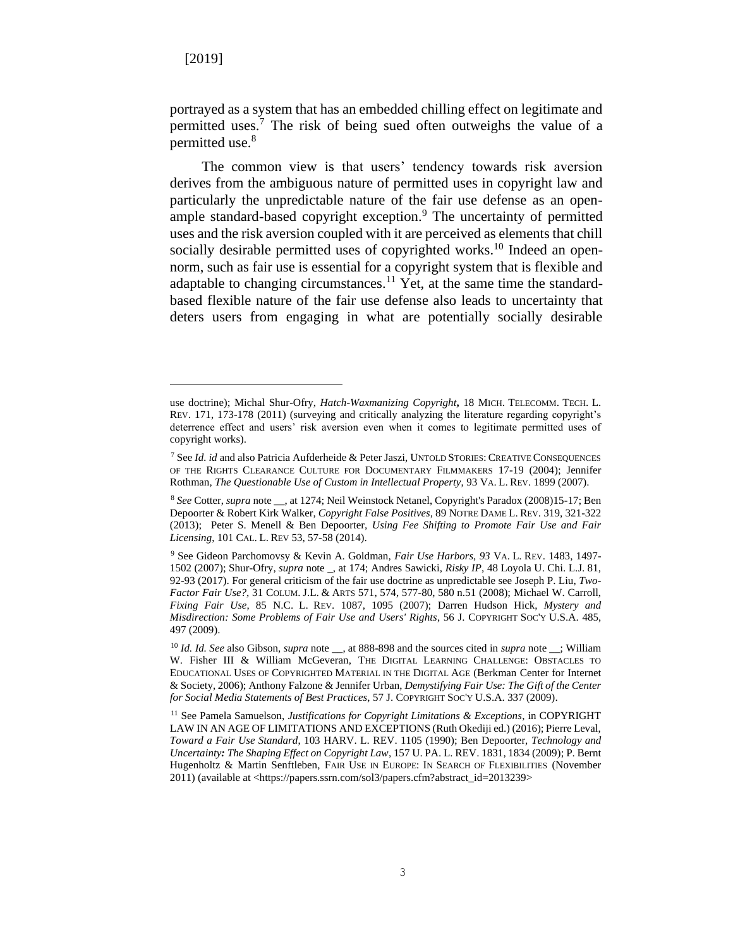portrayed as a system that has an embedded chilling effect on legitimate and permitted uses.<sup>7</sup> The risk of being sued often outweighs the value of a permitted use.<sup>8</sup>

The common view is that users' tendency towards risk aversion derives from the ambiguous nature of permitted uses in copyright law and particularly the unpredictable nature of the fair use defense as an openample standard-based copyright exception.<sup>9</sup> The uncertainty of permitted uses and the risk aversion coupled with it are perceived as elements that chill socially desirable permitted uses of copyrighted works.<sup>10</sup> Indeed an opennorm, such as fair use is essential for a copyright system that is flexible and adaptable to changing circumstances.<sup>11</sup> Yet, at the same time the standardbased flexible nature of the fair use defense also leads to uncertainty that deters users from engaging in what are potentially socially desirable

use doctrine); Michal Shur-Ofry, *Hatch-Waxmanizing Copyright***,** 18 MICH. TELECOMM. TECH. L. REV. 171, 173-178 (2011) (surveying and critically analyzing the literature regarding copyright's deterrence effect and users' risk aversion even when it comes to legitimate permitted uses of copyright works).

<sup>7</sup> See *Id. id* and also Patricia Aufderheide & Peter Jaszi, UNTOLD STORIES: CREATIVE CONSEQUENCES OF THE RIGHTS CLEARANCE CULTURE FOR DOCUMENTARY FILMMAKERS 17-19 (2004); Jennifer Rothman, *The Questionable Use of Custom in Intellectual Property*, 93 VA. L. REV. 1899 (2007).

<sup>8</sup> *See* Cotter, *supra* note \_\_, at 1274; Neil Weinstock Netanel, Copyright's Paradox (2008)15-17; Ben Depoorter & Robert Kirk Walker, *Copyright False Positives*, 89 NOTRE DAME L. REV. 319, 321-322 (2013); Peter S. Menell & Ben Depoorter, *Using Fee Shifting to Promote Fair Use and Fair Licensing*, 101 CAL. L. REV 53, 57-58 (2014).

<sup>9</sup> See Gideon Parchomovsy & Kevin A. Goldman, *Fair Use Harbors*, *93* VA. L. REV. 1483, 1497- 1502 (2007); Shur-Ofry, *supra* note \_, at 174; Andres Sawicki, *[Risky IP](https://ssrn.com/abstract=2748356)*, 48 Loyola U. Chi. L.J. 81, 92-93 (2017). For general criticism of the fair use doctrine as unpredictable see Joseph P. Liu, *Two-Factor Fair Use?,* 31 COLUM. J.L. & ARTS 571, 574, 577-80, 580 n.51 (2008); Michael W. Carroll, *Fixing Fair Use*, 85 N.C. L. REV. 1087, 1095 (2007); Darren Hudson Hick, *Mystery and Misdirection: Some Problems of Fair Use and Users' Rights*, 56 J. COPYRIGHT SOC'Y U.S.A. 485, 497 (2009).

<sup>10</sup> *Id. Id. See* also Gibson, *supra* note \_\_, at 888-898 and the sources cited in *supra* note \_\_; William W. Fisher III & William McGeveran, THE DIGITAL LEARNING CHALLENGE: OBSTACLES TO EDUCATIONAL USES OF COPYRIGHTED MATERIAL IN THE DIGITAL AGE (Berkman Center for Internet & Society, 2006); Anthony Falzone & Jennifer Urban, *Demystifying Fair Use: The Gift of the Center for Social Media Statements of Best Practices*, 57 J. COPYRIGHT SOC'Y U.S.A. 337 (2009).

<sup>&</sup>lt;sup>11</sup> See Pamela Samuelson, *Justifications for Copyright Limitations & Exceptions*, in COPYRIGHT LAW IN AN AGE OF LIMITATIONS AND EXCEPTIONS (Ruth Okediji ed.) (2016); Pierre Leval, *Toward a Fair Use Standard*, 103 HARV. L. REV. 1105 (1990); Ben Depoorter, *Technology and Uncertainty: The Shaping Effect on Copyright Law*, 157 U. PA. L. REV. 1831, 1834 (2009); P. Bernt Hugenholtz & Martin Senftleben, FAIR USE IN EUROPE: IN SEARCH OF FLEXIBILITIES (November 2011) (available at <https://papers.ssrn.com/sol3/papers.cfm?abstract\_id=2013239>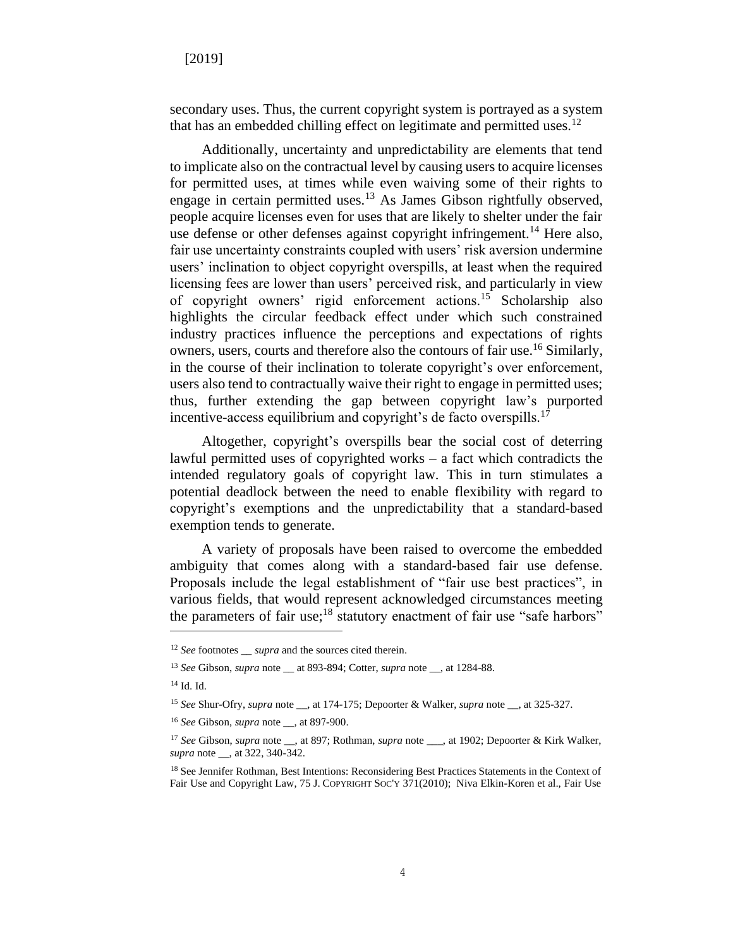secondary uses. Thus, the current copyright system is portrayed as a system that has an embedded chilling effect on legitimate and permitted uses.<sup>12</sup>

Additionally, uncertainty and unpredictability are elements that tend to implicate also on the contractual level by causing users to acquire licenses for permitted uses, at times while even waiving some of their rights to engage in certain permitted uses.<sup>13</sup> As James Gibson rightfully observed, people acquire licenses even for uses that are likely to shelter under the fair use defense or other defenses against copyright infringement.<sup>14</sup> Here also, fair use uncertainty constraints coupled with users' risk aversion undermine users' inclination to object copyright overspills, at least when the required licensing fees are lower than users' perceived risk, and particularly in view of copyright owners' rigid enforcement actions.<sup>15</sup> Scholarship also highlights the circular feedback effect under which such constrained industry practices influence the perceptions and expectations of rights owners, users, courts and therefore also the contours of fair use.<sup>16</sup> Similarly, in the course of their inclination to tolerate copyright's over enforcement, users also tend to contractually waive their right to engage in permitted uses; thus, further extending the gap between copyright law's purported incentive-access equilibrium and copyright's de facto overspills.<sup>17</sup>

Altogether, copyright's overspills bear the social cost of deterring lawful permitted uses of copyrighted works – a fact which contradicts the intended regulatory goals of copyright law. This in turn stimulates a potential deadlock between the need to enable flexibility with regard to copyright's exemptions and the unpredictability that a standard-based exemption tends to generate.

A variety of proposals have been raised to overcome the embedded ambiguity that comes along with a standard-based fair use defense. Proposals include the legal establishment of "fair use best practices", in various fields, that would represent acknowledged circumstances meeting the parameters of fair use;<sup>18</sup> statutory enactment of fair use "safe harbors"

<sup>&</sup>lt;sup>12</sup> *See* footnotes \_\_ *supra* and the sources cited therein.

<sup>13</sup> *See* Gibson, *supra* note \_\_ at 893-894; Cotter, *supra* note \_\_, at 1284-88.

<sup>14</sup> Id. Id.

<sup>15</sup> *See* Shur-Ofry, *supra* note \_\_, at 174-175; Depoorter & Walker, *supra* note \_\_, at 325-327.

<sup>16</sup> *See* Gibson, *supra* note \_\_, at 897-900.

<sup>&</sup>lt;sup>17</sup> See Gibson, *supra* note <sub>\_\_</sub>, at 897; Rothman, *supra* note \_\_\_, at 1902; Depoorter & Kirk Walker, *supra* note \_\_, at 322, 340-342.

<sup>&</sup>lt;sup>18</sup> See Jennifer Rothman, Best Intentions: Reconsidering Best Practices Statements in the Context of Fair Use and Copyright Law, 75 J. COPYRIGHT SOC'Y 371(2010); Niva Elkin-Koren et al., Fair Use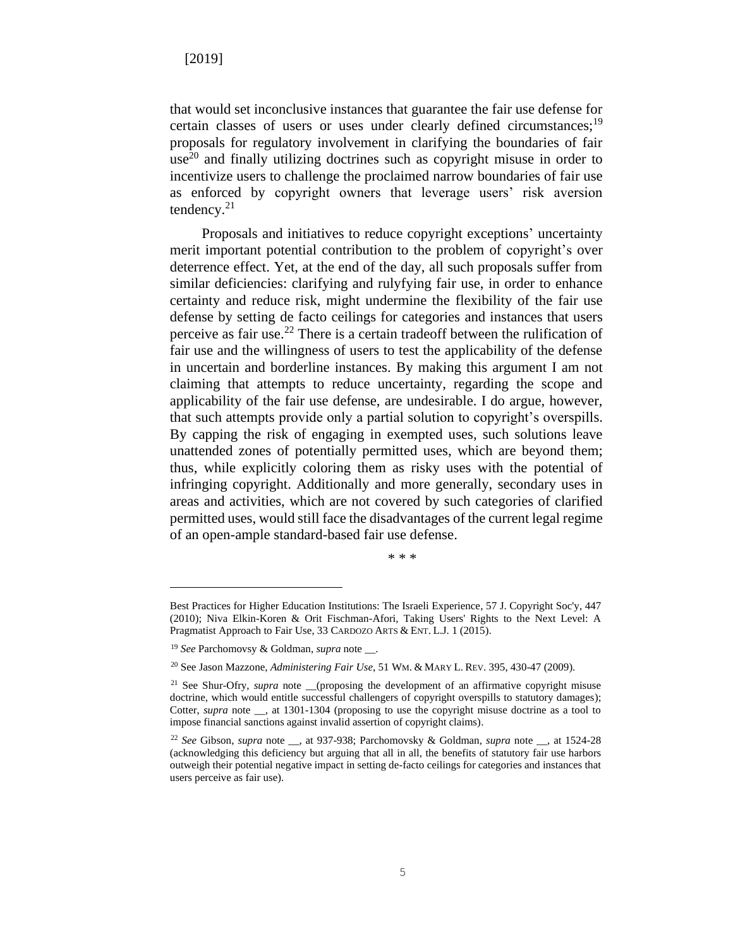that would set inconclusive instances that guarantee the fair use defense for certain classes of users or uses under clearly defined circumstances;<sup>19</sup> proposals for regulatory involvement in clarifying the boundaries of fair  $use<sup>20</sup>$  and finally utilizing doctrines such as copyright misuse in order to incentivize users to challenge the proclaimed narrow boundaries of fair use as enforced by copyright owners that leverage users' risk aversion tendency.<sup>21</sup>

Proposals and initiatives to reduce copyright exceptions' uncertainty merit important potential contribution to the problem of copyright's over deterrence effect. Yet, at the end of the day, all such proposals suffer from similar deficiencies: clarifying and rulyfying fair use, in order to enhance certainty and reduce risk, might undermine the flexibility of the fair use defense by setting de facto ceilings for categories and instances that users perceive as fair use.<sup>22</sup> There is a certain tradeoff between the rulification of fair use and the willingness of users to test the applicability of the defense in uncertain and borderline instances. By making this argument I am not claiming that attempts to reduce uncertainty, regarding the scope and applicability of the fair use defense, are undesirable. I do argue, however, that such attempts provide only a partial solution to copyright's overspills. By capping the risk of engaging in exempted uses, such solutions leave unattended zones of potentially permitted uses, which are beyond them; thus, while explicitly coloring them as risky uses with the potential of infringing copyright. Additionally and more generally, secondary uses in areas and activities, which are not covered by such categories of clarified permitted uses, would still face the disadvantages of the current legal regime of an open-ample standard-based fair use defense.

<sup>\* \* \*</sup>

Best Practices for Higher Education Institutions: The Israeli Experience, 57 J. Copyright Soc'y, 447 (2010); Niva Elkin-Koren & Orit Fischman-Afori, Taking Users' Rights to the Next Level: A Pragmatist Approach to Fair Use, 33 CARDOZO ARTS & ENT. L.J. 1 (2015).

<sup>19</sup> *See* Parchomovsy & Goldman, *supra* note \_\_.

<sup>20</sup> See Jason Mazzone, *Administering Fair Use*, 51 WM. & MARY L. REV. 395, 430-47 (2009).

<sup>&</sup>lt;sup>21</sup> See Shur-Ofry, *supra* note \_\_(proposing the development of an affirmative copyright misuse doctrine, which would entitle successful challengers of copyright overspills to statutory damages); Cotter, *supra* note \_\_, at 1301-1304 (proposing to use the copyright misuse doctrine as a tool to impose financial sanctions against invalid assertion of copyright claims).

<sup>22</sup> *See* Gibson, *supra* note \_\_, at 937-938; Parchomovsky & Goldman, *supra* note \_\_, at 1524-28 (acknowledging this deficiency but arguing that all in all, the benefits of statutory fair use harbors outweigh their potential negative impact in setting de-facto ceilings for categories and instances that users perceive as fair use).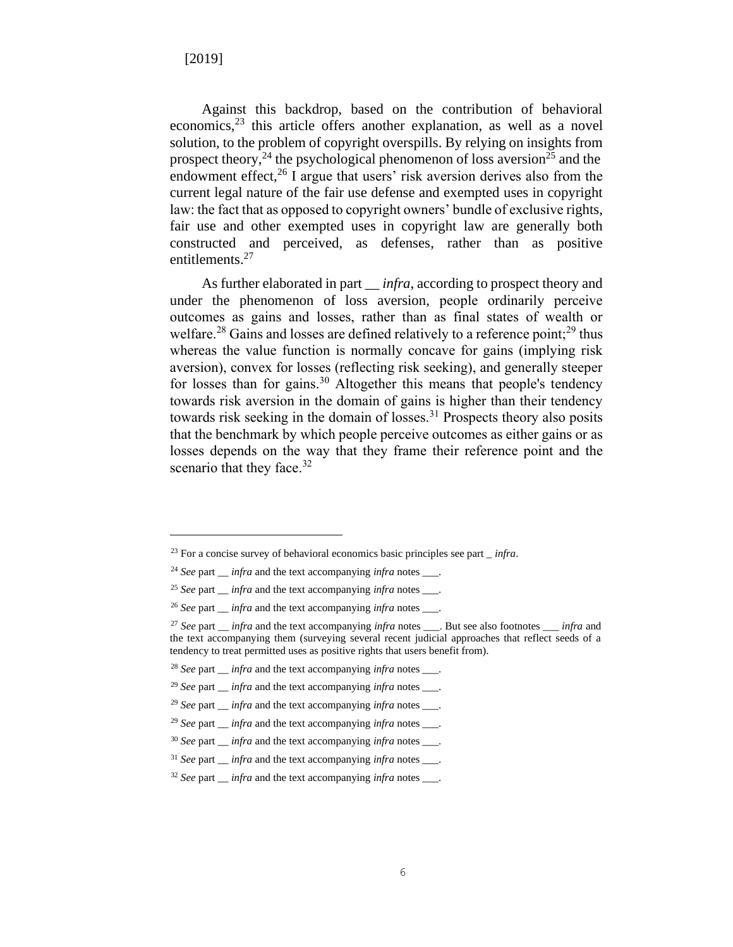Against this backdrop, based on the contribution of behavioral economics,<sup>23</sup> this article offers another explanation, as well as a novel solution, to the problem of copyright overspills. By relying on insights from prospect theory,<sup>24</sup> the psychological phenomenon of loss aversion<sup>25</sup> and the endowment effect, $^{26}$  I argue that users' risk aversion derives also from the current legal nature of the fair use defense and exempted uses in copyright law: the fact that as opposed to copyright owners' bundle of exclusive rights, fair use and other exempted uses in copyright law are generally both constructed and perceived, as defenses, rather than as positive entitlements. 27

As further elaborated in part *infra*, according to prospect theory and under the phenomenon of loss aversion, people ordinarily perceive outcomes as gains and losses, rather than as final states of wealth or welfare.<sup>28</sup> Gains and losses are defined relatively to a reference point;<sup>29</sup> thus whereas the value function is normally concave for gains (implying risk aversion), convex for losses (reflecting risk seeking), and generally steeper for losses than for gains.<sup>30</sup> Altogether this means that people's tendency towards risk aversion in the domain of gains is higher than their tendency towards risk seeking in the domain of losses.<sup>31</sup> Prospects theory also posits that the benchmark by which people perceive outcomes as either gains or as losses depends on the way that they frame their reference point and the scenario that they face.<sup>32</sup>

<sup>28</sup> *See* part \_\_ *infra* and the text accompanying *infra* notes \_\_\_.

<sup>23</sup> For a concise survey of behavioral economics basic principles see part \_ *infra*.

<sup>24</sup> *See* part \_\_ *infra* and the text accompanying *infra* notes \_\_\_.

<sup>25</sup> *See* part \_\_ *infra* and the text accompanying *infra* notes \_\_\_.

<sup>26</sup> *See* part \_\_ *infra* and the text accompanying *infra* notes \_\_\_.

<sup>27</sup> *See* part \_\_ *infra* and the text accompanying *infra* notes \_\_\_. But see also footnotes *\_\_\_ infra* and the text accompanying them (surveying several recent judicial approaches that reflect seeds of a tendency to treat permitted uses as positive rights that users benefit from).

<sup>29</sup> *See* part \_\_ *infra* and the text accompanying *infra* notes \_\_\_.

<sup>29</sup> *See* part \_\_ *infra* and the text accompanying *infra* notes \_\_\_.

<sup>29</sup> *See* part \_\_ *infra* and the text accompanying *infra* notes \_\_\_.

<sup>30</sup> *See* part \_\_ *infra* and the text accompanying *infra* notes \_\_\_.

<sup>&</sup>lt;sup>31</sup> *See* part *\_\_\_ infra* and the text accompanying *infra* notes \_\_\_\_.

<sup>32</sup> *See* part \_\_ *infra* and the text accompanying *infra* notes \_\_\_.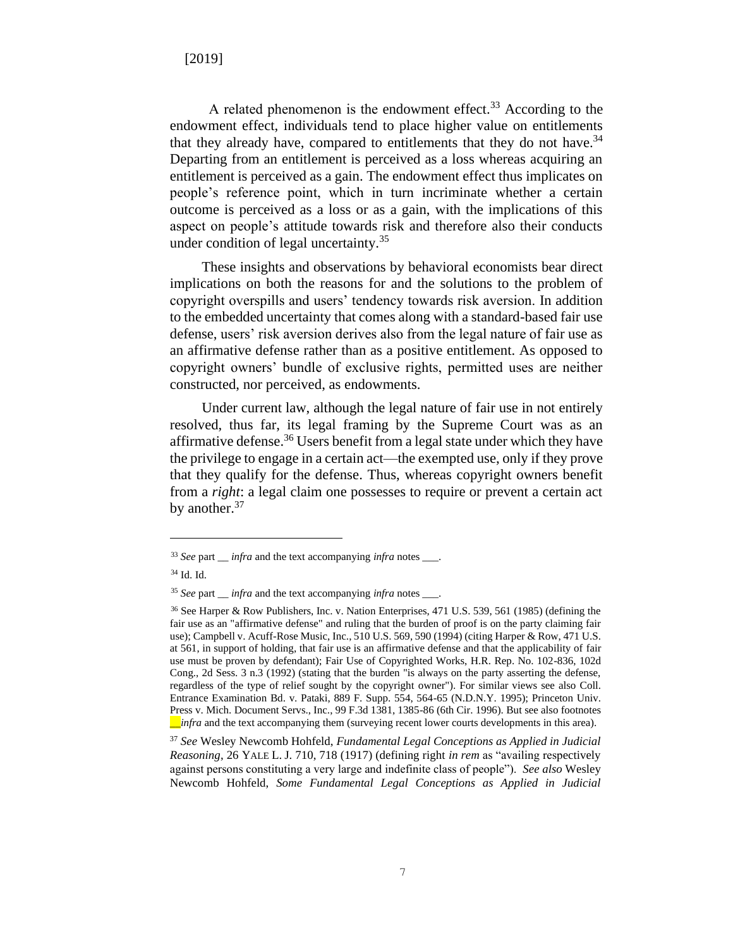A related phenomenon is the endowment effect.<sup>33</sup> According to the endowment effect, individuals tend to place higher value on entitlements that they already have, compared to entitlements that they do not have.<sup>34</sup> Departing from an entitlement is perceived as a loss whereas acquiring an entitlement is perceived as a gain. The endowment effect thus implicates on people's reference point, which in turn incriminate whether a certain outcome is perceived as a loss or as a gain, with the implications of this aspect on people's attitude towards risk and therefore also their conducts under condition of legal uncertainty.<sup>35</sup>

These insights and observations by behavioral economists bear direct implications on both the reasons for and the solutions to the problem of copyright overspills and users' tendency towards risk aversion. In addition to the embedded uncertainty that comes along with a standard-based fair use defense, users' risk aversion derives also from the legal nature of fair use as an affirmative defense rather than as a positive entitlement. As opposed to copyright owners' bundle of exclusive rights, permitted uses are neither constructed, nor perceived, as endowments.

Under current law, although the legal nature of fair use in not entirely resolved, thus far, its legal framing by the Supreme Court was as an affirmative defense.<sup>36</sup> Users benefit from a legal state under which they have the privilege to engage in a certain act—the exempted use, only if they prove that they qualify for the defense. Thus, whereas copyright owners benefit from a *right*: a legal claim one possesses to require or prevent a certain act by another.<sup>37</sup>

<sup>37</sup> *See* Wesley Newcomb Hohfeld, *Fundamental Legal Conceptions as Applied in Judicial Reasoning*, 26 YALE L. J. 710, 718 (1917) (defining right *in rem* as "availing respectively against persons constituting a very large and indefinite class of people"). *See also* Wesley Newcomb Hohfeld, *Some Fundamental Legal Conceptions as Applied in Judicial* 

<sup>33</sup> *See* part \_\_ *infra* and the text accompanying *infra* notes \_\_\_.

<sup>34</sup> Id. Id.

<sup>35</sup> *See* part \_\_ *infra* and the text accompanying *infra* notes \_\_\_.

<sup>36</sup> See Harper & Row Publishers, Inc. v. Nation Enterprises, 471 U.S. 539, 561 (1985) (defining the fair use as an "affirmative defense" and ruling that the burden of proof is on the party claiming fair use); Campbell v. Acuff-Rose Music, Inc., 510 U.S. 569, 590 (1994) (citing Harper & Row, 471 U.S. at 561, in support of holding, that fair use is an affirmative defense and that the applicability of fair use must be proven by defendant); Fair Use of Copyrighted Works, H.R. Rep. No. 102-836, 102d Cong., 2d Sess. 3 n.3 (1992) (stating that the burden "is always on the party asserting the defense, regardless of the type of relief sought by the copyright owner"). For similar views see also Coll. Entrance Examination Bd. v. Pataki, 889 F. Supp. 554, 564-65 (N.D.N.Y. 1995); Princeton Univ. Press v. Mich. Document Servs., Inc., 99 F.3d 1381, 1385-86 (6th Cir. 1996). But see also footnotes \_\_*infra* and the text accompanying them (surveying recent lower courts developments in this area).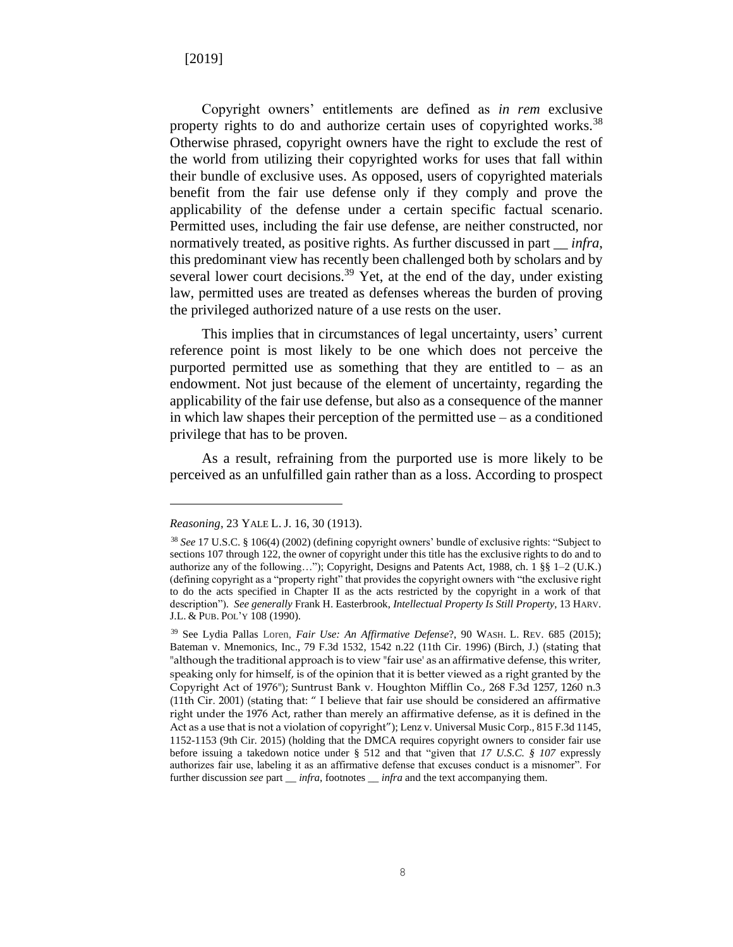Copyright owners' entitlements are defined as *in rem* exclusive property rights to do and authorize certain uses of copyrighted works.<sup>38</sup> Otherwise phrased, copyright owners have the right to exclude the rest of the world from utilizing their copyrighted works for uses that fall within their bundle of exclusive uses. As opposed, users of copyrighted materials benefit from the fair use defense only if they comply and prove the applicability of the defense under a certain specific factual scenario. Permitted uses, including the fair use defense, are neither constructed, nor normatively treated, as positive rights. As further discussed in part \_\_ *infra*, this predominant view has recently been challenged both by scholars and by several lower court decisions.<sup>39</sup> Yet, at the end of the day, under existing law, permitted uses are treated as defenses whereas the burden of proving the privileged authorized nature of a use rests on the user.

This implies that in circumstances of legal uncertainty, users' current reference point is most likely to be one which does not perceive the purported permitted use as something that they are entitled to  $-$  as an endowment. Not just because of the element of uncertainty, regarding the applicability of the fair use defense, but also as a consequence of the manner in which law shapes their perception of the permitted use – as a conditioned privilege that has to be proven.

As a result, refraining from the purported use is more likely to be perceived as an unfulfilled gain rather than as a loss. According to prospect

*Reasoning*, 23 YALE L. J. 16, 30 (1913).

<sup>38</sup> *See* 17 U.S.C. § 106(4) (2002) (defining copyright owners' bundle of exclusive rights: "Subject to sections 107 through 122, the owner of copyright under this title has the exclusive rights to do and to authorize any of the following…"); Copyright, Designs and Patents Act, 1988, ch. 1 §§ 1–2 (U.K.) (defining copyright as a "property right" that provides the copyright owners with "the exclusive right to do the acts specified in Chapter II as the acts restricted by the copyright in a work of that description"). *See generally* Frank H. Easterbrook, *Intellectual Property Is Still Property*, 13 HARV. J.L. & PUB. POL'Y 108 (1990).

<sup>39</sup> See Lydia Pallas Loren, *Fair Use: An Affirmative Defense*?, 90 WASH. L. REV. 685 (2015); Bateman v. Mnemonics, Inc., 79 F.3d 1532, 1542 n.22 (11th Cir. 1996) (Birch, J.) (stating that "although the traditional approach is to view "fair use' as an affirmative defense, this writer, speaking only for himself, is of the opinion that it is better viewed as a right granted by the Copyright Act of 1976"); Suntrust Bank v. Houghton Mifflin Co., 268 F.3d 1257, 1260 n.3 (11th Cir. 2001) (stating that: " I believe that fair use should be considered an affirmative right under the 1976 Act, rather than merely an affirmative defense, as it is defined in the Act as a use that is not a violation of copyright"); Lenz v. Universal Music Corp., 815 F.3d 1145, 1152-1153 (9th Cir. 2015) (holding that the DMCA requires copyright owners to consider fair use before issuing a takedown notice under [§ 512](https://advance.lexis.com/document/midlinetitle/?pdmfid=1000516&crid=d13039f7-d5ff-4118-90f0-042fb7d0bf49&pddocfullpath=%2Fshared%2Fdocument%2Fcases%2Furn%3AcontentItem%3A5HTC-YY61-F04D-N0DD-00000-00&pdcomponentid=6415&ecomp=m46g&earg=sr13&prid=eb02e797-54bd-4051-8d00-8a0201bf78e6) and that "given that *17 U.S.C. § 107* expressly authorizes fair use, labeling it as an affirmative defense that excuses conduct is a misnomer". For further discussion *see* part \_\_ *infra*, footnotes \_\_ *infra* and the text accompanying them.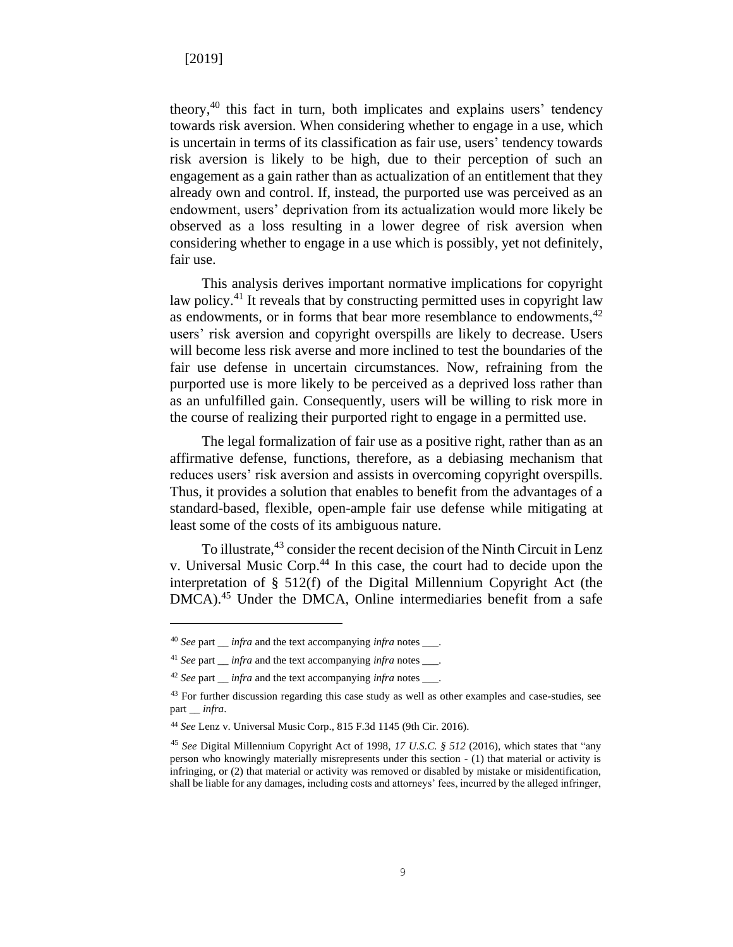theory,<sup>40</sup> this fact in turn, both implicates and explains users' tendency towards risk aversion. When considering whether to engage in a use, which is uncertain in terms of its classification as fair use, users' tendency towards risk aversion is likely to be high, due to their perception of such an engagement as a gain rather than as actualization of an entitlement that they already own and control. If, instead, the purported use was perceived as an endowment, users' deprivation from its actualization would more likely be observed as a loss resulting in a lower degree of risk aversion when considering whether to engage in a use which is possibly, yet not definitely, fair use.

This analysis derives important normative implications for copyright law policy.<sup>41</sup> It reveals that by constructing permitted uses in copyright law as endowments, or in forms that bear more resemblance to endowments,  $42$ users' risk aversion and copyright overspills are likely to decrease. Users will become less risk averse and more inclined to test the boundaries of the fair use defense in uncertain circumstances. Now, refraining from the purported use is more likely to be perceived as a deprived loss rather than as an unfulfilled gain. Consequently, users will be willing to risk more in the course of realizing their purported right to engage in a permitted use.

The legal formalization of fair use as a positive right, rather than as an affirmative defense, functions, therefore, as a debiasing mechanism that reduces users' risk aversion and assists in overcoming copyright overspills. Thus, it provides a solution that enables to benefit from the advantages of a standard-based, flexible, open-ample fair use defense while mitigating at least some of the costs of its ambiguous nature.

To illustrate, <sup>43</sup> consider the recent decision of the Ninth Circuit in Lenz v. Universal Music Corp. <sup>44</sup> In this case, the court had to decide upon the interpretation of § 512(f) of the Digital Millennium Copyright Act (the DMCA). <sup>45</sup> Under the DMCA, Online intermediaries benefit from a safe

<sup>40</sup> *See* part \_\_ *infra* and the text accompanying *infra* notes \_\_\_.

<sup>41</sup> *See* part \_\_ *infra* and the text accompanying *infra* notes \_\_\_.

<sup>42</sup> *See* part \_\_ *infra* and the text accompanying *infra* notes \_\_\_.

<sup>&</sup>lt;sup>43</sup> For further discussion regarding this case study as well as other examples and case-studies, see part \_\_ *infra*.

<sup>44</sup> *See* [Lenz](https://advance.lexis.com/api/document?collection=cases&id=urn:contentItem:5JB6-DJC1-F04K-V3GK-00000-00&context=) v. Universal Music Corp., 815 F.3d 1145 (9th Cir. 2016).

<sup>45</sup> *See* Digital Millennium Copyright Act of 1998, *17 U.S.C. § 512* (2016), which states that "any person who knowingly materially misrepresents under this section - (1) that material or activity is infringing, or (2) that material or activity was removed or disabled by mistake or misidentification, shall be liable for any damages, including costs and attorneys' fees, incurred by the alleged infringer,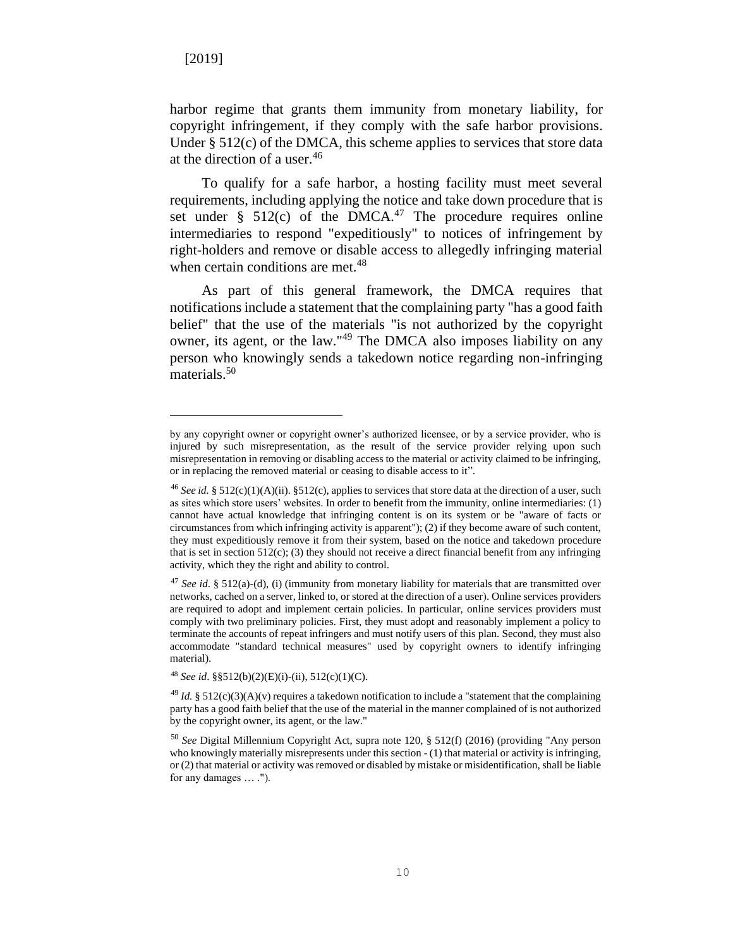harbor regime that grants them immunity from monetary liability, for copyright infringement, if they comply with the safe harbor provisions. Under § 512(c) of the DMCA, this scheme applies to services that store data at the direction of a user.<sup>46</sup>

To qualify for a safe harbor, a hosting facility must meet several requirements, including applying the notice and take down procedure that is set under  $\S$  512(c) of the DMCA.<sup>47</sup> The procedure requires online intermediaries to respond "expeditiously" to notices of infringement by right-holders and remove or disable access to allegedly infringing material when certain conditions are met.<sup>48</sup>

As part of this general framework, the DMCA requires that notifications include a statement that the complaining party "has a good faith belief" that the use of the materials "is not authorized by the copyright owner, its agent, or the law."<sup>49</sup> The DMCA also imposes liability on any person who knowingly sends a takedown notice regarding non-infringing materials.<sup>50</sup>

by any copyright owner or copyright owner's authorized licensee, or by a service provider, who is injured by such misrepresentation, as the result of the service provider relying upon such misrepresentation in removing or disabling access to the material or activity claimed to be infringing, or in replacing the removed material or ceasing to disable access to it".

<sup>&</sup>lt;sup>46</sup> See id. § 512(c)(1)(A)(ii). §512(c), applies to services that store data at the direction of a user, such as sites which store users' websites. In order to benefit from the immunity, online intermediaries: (1) cannot have actual knowledge that infringing content is on its system or be "aware of facts or circumstances from which infringing activity is apparent"); (2) if they become aware of such content, they must expeditiously remove it from their system, based on the notice and takedown procedure that is set in section  $512(c)$ ; (3) they should not receive a direct financial benefit from any infringing activity, which they the right and ability to control.

<sup>47</sup> *See id*. § 512(a)-(d), (i) (immunity from monetary liability for materials that are transmitted over networks, cached on a server, linked to, or stored at the direction of a user). Online services providers are required to adopt and implement certain policies. In particular, online services providers must comply with two preliminary policies. First, they must adopt and reasonably implement a policy to terminate the accounts of repeat infringers and must notify users of this plan. Second, they must also accommodate "standard technical measures" used by copyright owners to identify infringing material).

<sup>48</sup> *See id*. §§512(b)(2)(E)(i)-(ii), 512(c)(1)(C).

 $^{49}$  *Id.* § 512(c)(3)(A)(v) requires a takedown notification to include a "statement that the complaining party has a good faith belief that the use of the material in the manner complained of is not authorized by the copyright owner, its agent, or the law."

<sup>50</sup> *See* Digital Millennium Copyright Act, supra note 120, § 512(f) (2016) (providing "Any person who knowingly materially misrepresents under this section  $-(1)$  that material or activity is infringing, or (2) that material or activity was removed or disabled by mistake or misidentification, shall be liable for any damages … .").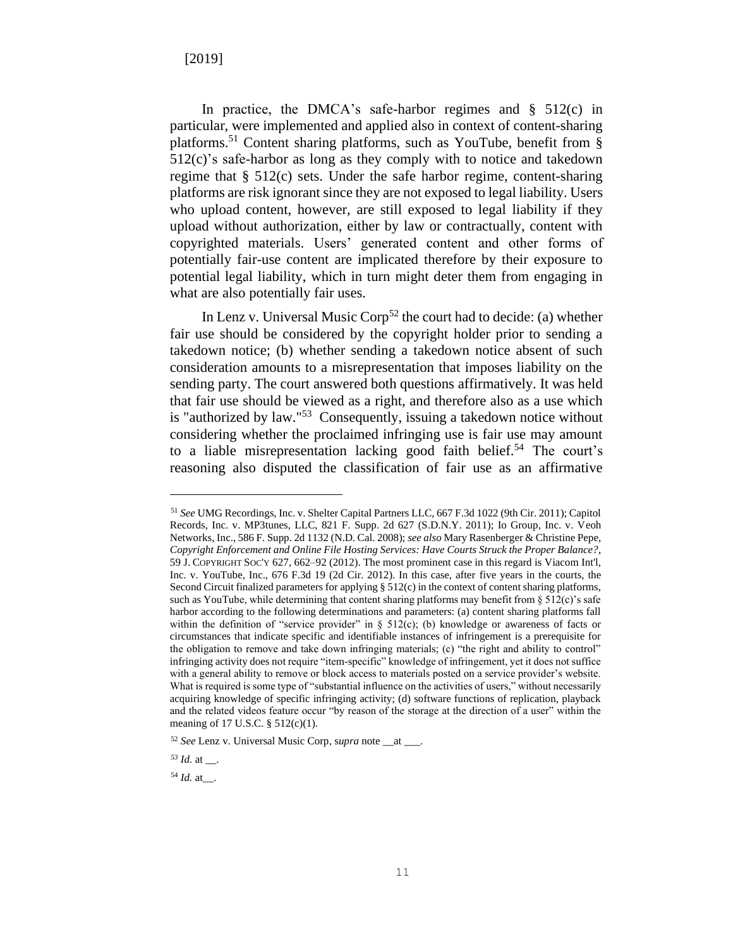In practice, the DMCA's safe-harbor regimes and  $\S$  512(c) in particular, were implemented and applied also in context of content-sharing platforms.<sup>51</sup> Content sharing platforms, such as YouTube, benefit from § 512(c)'s safe-harbor as long as they comply with to notice and takedown regime that § 512(c) sets. Under the safe harbor regime, content-sharing platforms are risk ignorant since they are not exposed to legal liability. Users who upload content, however, are still exposed to legal liability if they upload without authorization, either by law or contractually, content with copyrighted materials. Users' generated content and other forms of potentially fair-use content are implicated therefore by their exposure to potential legal liability, which in turn might deter them from engaging in what are also potentially fair uses.

In Lenz v. Universal Music  $\text{Corp}^{52}$  the court had to decide: (a) whether fair use should be considered by the copyright holder prior to sending a takedown notice; (b) whether sending a takedown notice absent of such consideration amounts to a misrepresentation that imposes liability on the sending party. The court answered both questions affirmatively. It was held that fair use should be viewed as a right, and therefore also as a use which is "authorized by law."<sup>53</sup> Consequently, issuing a takedown notice without considering whether the proclaimed infringing use is fair use may amount to a liable misrepresentation lacking good faith belief.<sup>54</sup> The court's reasoning also disputed the classification of fair use as an affirmative

<sup>51</sup> *See* UMG Recordings, Inc. v. Shelter Capital Partners LLC, 667 F.3d 1022 (9th Cir. 2011); Capitol Records, Inc. v. MP3tunes, LLC, 821 F. Supp. 2d 627 (S.D.N.Y. 2011); Io Group, Inc. v. Veoh Networks, Inc., 586 F. Supp. 2d 1132 (N.D. Cal. 2008); *see also* Mary Rasenberger & Christine Pepe, *Copyright Enforcement and Online File Hosting Services: Have Courts Struck the Proper Balance?*, 59 J. COPYRIGHT SOC'Y 627, 662–92 (2012). The most prominent case in this regard is Viacom Int'l, Inc. v. YouTube, Inc., 676 F.3d 19 (2d Cir. 2012). In this case, after five years in the courts, the Second Circuit finalized parameters for applying § 512(c) in the context of content sharing platforms, such as YouTube, while determining that content sharing platforms may benefit from  $\S 512(c)$ 's safe harbor according to the following determinations and parameters: (a) content sharing platforms fall within the definition of "service provider" in  $\S$  512(c); (b) knowledge or awareness of facts or circumstances that indicate specific and identifiable instances of infringement is a prerequisite for the obligation to remove and take down infringing materials; (c) "the right and ability to control" infringing activity does not require "item-specific" knowledge of infringement, yet it does not suffice with a general ability to remove or block access to materials posted on a service provider's website. What is required is some type of "substantial influence on the activities of users," without necessarily acquiring knowledge of specific infringing activity; (d) software functions of replication, playback and the related videos feature occur "by reason of the storage at the direction of a user" within the meaning of 17 U.S.C. § 512(c)(1).

<sup>52</sup> *See* Lenz v. Universal Music Corp, s*upra* note \_\_at \_\_\_.

 $^{53}$  *Id.* at \_\_\_.

 $54$  *Id.* at  $\blacksquare$ .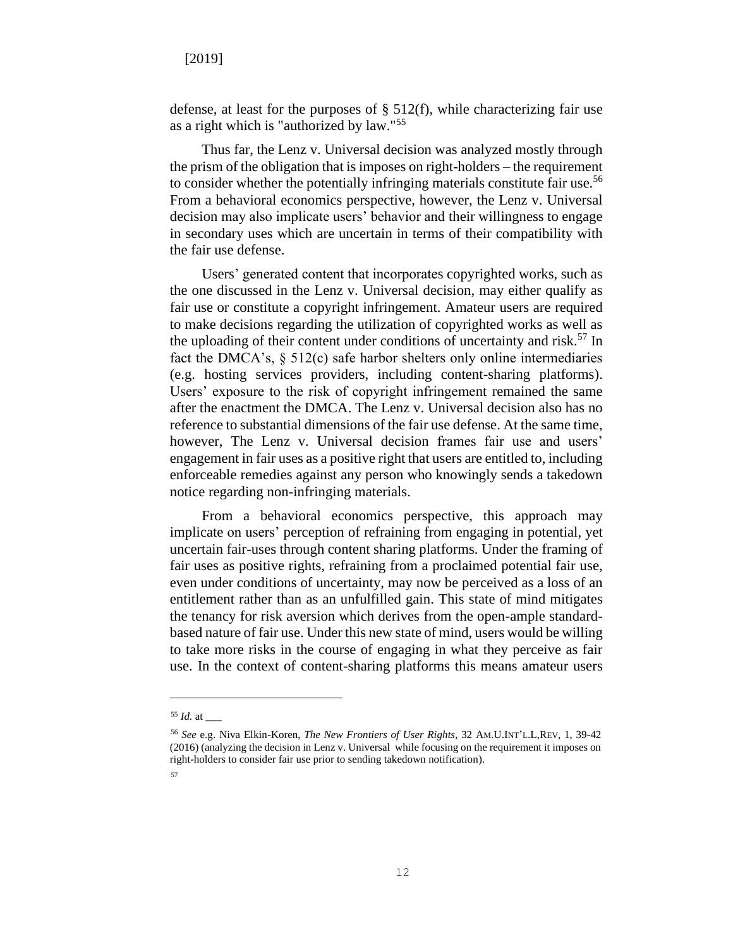defense, at least for the purposes of  $\S$  512(f), while characterizing fair use as a right which is "authorized by law."<sup>55</sup>

Thus far, the Lenz v. Universal decision was analyzed mostly through the prism of the obligation that is imposes on right-holders – the requirement to consider whether the potentially infringing materials constitute fair use.<sup>56</sup> From a behavioral economics perspective, however, the Lenz v. Universal decision may also implicate users' behavior and their willingness to engage in secondary uses which are uncertain in terms of their compatibility with the fair use defense.

Users' generated content that incorporates copyrighted works, such as the one discussed in the Lenz v. Universal decision, may either qualify as fair use or constitute a copyright infringement. Amateur users are required to make decisions regarding the utilization of copyrighted works as well as the uploading of their content under conditions of uncertainty and risk. <sup>57</sup> In fact the DMCA's,  $\S$  512(c) safe harbor shelters only online intermediaries (e.g. hosting services providers, including content-sharing platforms). Users' exposure to the risk of copyright infringement remained the same after the enactment the DMCA. The Lenz v. Universal decision also has no reference to substantial dimensions of the fair use defense. At the same time, however, The Lenz v. Universal decision frames fair use and users' engagement in fair uses as a positive right that users are entitled to, including enforceable remedies against any person who knowingly sends a takedown notice regarding non-infringing materials.

From a behavioral economics perspective, this approach may implicate on users' perception of refraining from engaging in potential, yet uncertain fair-uses through content sharing platforms. Under the framing of fair uses as positive rights, refraining from a proclaimed potential fair use, even under conditions of uncertainty, may now be perceived as a loss of an entitlement rather than as an unfulfilled gain. This state of mind mitigates the tenancy for risk aversion which derives from the open-ample standardbased nature of fair use. Under this new state of mind, users would be willing to take more risks in the course of engaging in what they perceive as fair use. In the context of content-sharing platforms this means amateur users

<sup>55</sup> *Id.* at \_\_\_

<sup>56</sup> *See* e.g. Niva Elkin-Koren, *The New Frontiers of User Rights*, 32 AM.U.INT'L.L,REV, 1, 39-42 (2016) (analyzing the decision in Lenz v. Universal while focusing on the requirement it imposes on right-holders to consider fair use prior to sending takedown notification). 57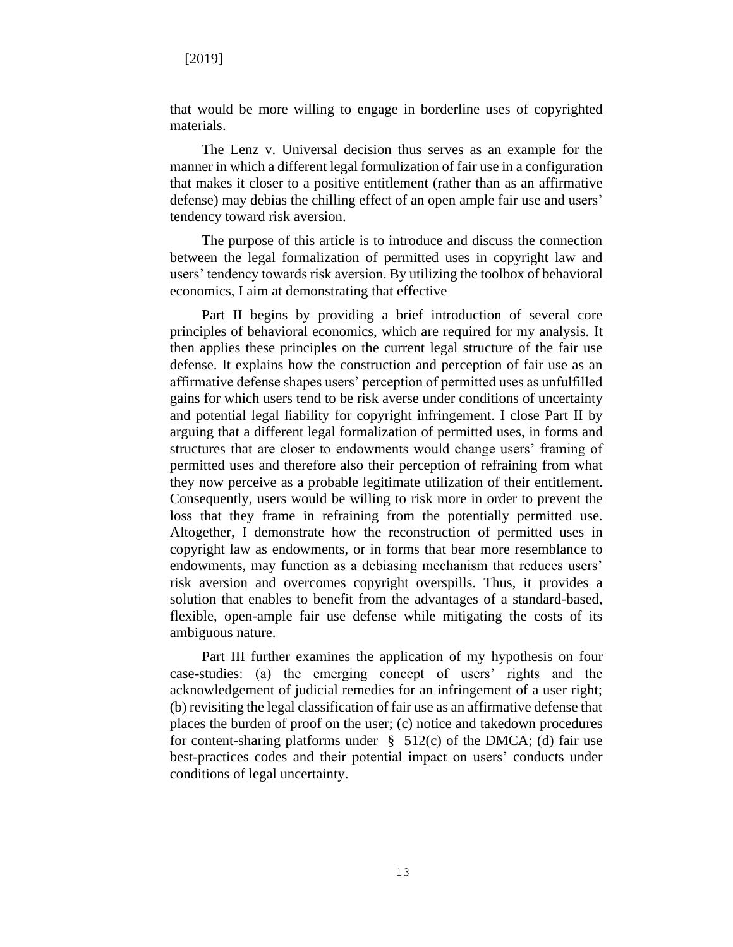that would be more willing to engage in borderline uses of copyrighted materials.

The Lenz v. Universal decision thus serves as an example for the manner in which a different legal formulization of fair use in a configuration that makes it closer to a positive entitlement (rather than as an affirmative defense) may debias the chilling effect of an open ample fair use and users' tendency toward risk aversion.

The purpose of this article is to introduce and discuss the connection between the legal formalization of permitted uses in copyright law and users' tendency towards risk aversion. By utilizing the toolbox of behavioral economics, I aim at demonstrating that effective

Part II begins by providing a brief introduction of several core principles of behavioral economics, which are required for my analysis. It then applies these principles on the current legal structure of the fair use defense. It explains how the construction and perception of fair use as an affirmative defense shapes users' perception of permitted uses as unfulfilled gains for which users tend to be risk averse under conditions of uncertainty and potential legal liability for copyright infringement. I close Part II by arguing that a different legal formalization of permitted uses, in forms and structures that are closer to endowments would change users' framing of permitted uses and therefore also their perception of refraining from what they now perceive as a probable legitimate utilization of their entitlement. Consequently, users would be willing to risk more in order to prevent the loss that they frame in refraining from the potentially permitted use. Altogether, I demonstrate how the reconstruction of permitted uses in copyright law as endowments, or in forms that bear more resemblance to endowments, may function as a debiasing mechanism that reduces users' risk aversion and overcomes copyright overspills. Thus, it provides a solution that enables to benefit from the advantages of a standard-based, flexible, open-ample fair use defense while mitigating the costs of its ambiguous nature.

Part III further examines the application of my hypothesis on four case-studies: (a) the emerging concept of users' rights and the acknowledgement of judicial remedies for an infringement of a user right; (b) revisiting the legal classification of fair use as an affirmative defense that places the burden of proof on the user; (c) notice and takedown procedures for content-sharing platforms under  $\S$  512(c) of the DMCA; (d) fair use best-practices codes and their potential impact on users' conducts under conditions of legal uncertainty.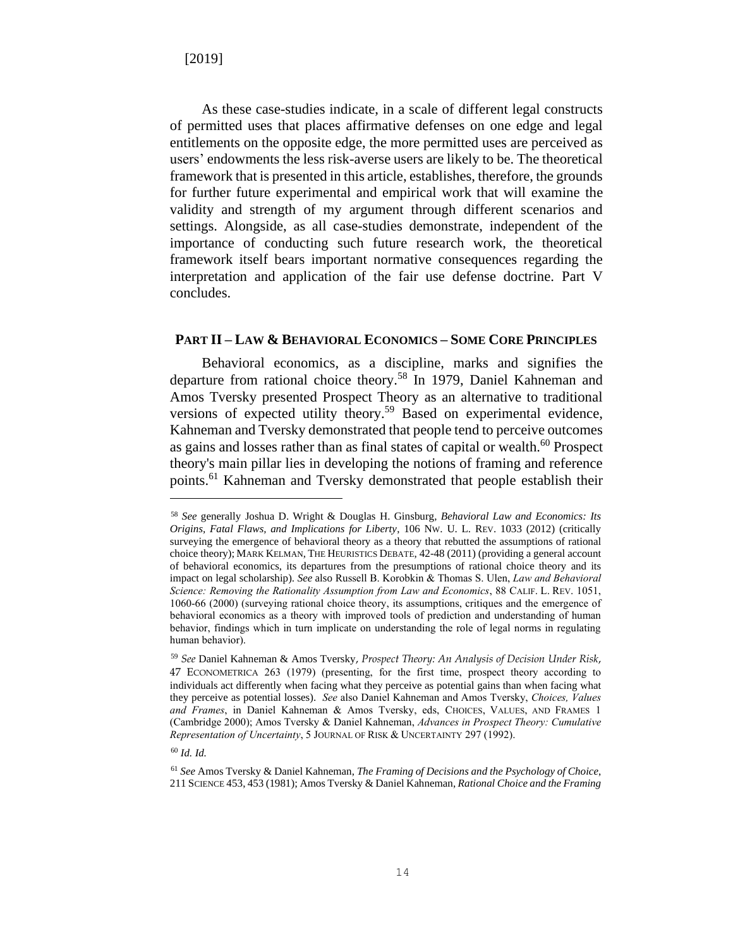As these case-studies indicate, in a scale of different legal constructs of permitted uses that places affirmative defenses on one edge and legal entitlements on the opposite edge, the more permitted uses are perceived as users' endowments the less risk-averse users are likely to be. The theoretical framework that is presented in this article, establishes, therefore, the grounds for further future experimental and empirical work that will examine the validity and strength of my argument through different scenarios and settings. Alongside, as all case-studies demonstrate, independent of the importance of conducting such future research work, the theoretical framework itself bears important normative consequences regarding the interpretation and application of the fair use defense doctrine. Part V concludes.

#### **PART II – LAW & BEHAVIORAL ECONOMICS – SOME CORE PRINCIPLES**

Behavioral economics, as a discipline, marks and signifies the departure from rational choice theory.<sup>58</sup> In 1979, Daniel Kahneman and Amos Tversky presented Prospect Theory as an alternative to traditional versions of expected utility theory.<sup>59</sup> Based on experimental evidence, Kahneman and Tversky demonstrated that people tend to perceive outcomes as gains and losses rather than as final states of capital or wealth.<sup>60</sup> Prospect theory's main pillar lies in developing the notions of framing and reference points.<sup>61</sup> Kahneman and Tversky demonstrated that people establish their

<sup>58</sup> *See* generally Joshua D. Wright & Douglas H. Ginsburg, *Behavioral Law and Economics: Its Origins, Fatal Flaws, and Implications for Liberty*, 106 NW. U. L. REV. 1033 (2012) (critically surveying the emergence of behavioral theory as a theory that rebutted the assumptions of rational choice theory); MARK KELMAN, THE HEURISTICS DEBATE, 42-48 (2011) (providing a general account of behavioral economics, its departures from the presumptions of rational choice theory and its impact on legal scholarship). *See* also Russell B. Korobkin & Thomas S. Ulen, *Law and Behavioral Science: Removing the Rationality Assumption from Law and Economics*, 88 CALIF. L. REV. 1051, 1060-66 (2000) (surveying rational choice theory, its assumptions, critiques and the emergence of behavioral economics as a theory with improved tools of prediction and understanding of human behavior, findings which in turn implicate on understanding the role of legal norms in regulating human behavior).

<sup>59</sup> *See* Daniel Kahneman & Amos Tversky, *Prospect Theory: An Analysis of Decision Under Risk*, 47 ECONOMETRICA 263 (1979) (presenting, for the first time, prospect theory according to individuals act differently when facing what they perceive as potential gains than when facing what they perceive as potential losses). *See* also Daniel Kahneman and Amos Tversky, *Choices, Values and Frames*, in Daniel Kahneman & Amos Tversky, eds, CHOICES, VALUES, AND FRAMES 1 (Cambridge 2000); Amos Tversky & Daniel Kahneman, *Advances in Prospect Theory: Cumulative Representation of Uncertainty*, 5 JOURNAL OF RISK & UNCERTAINTY 297 (1992).

<sup>60</sup> *Id. Id.*

<sup>61</sup> *See* Amos Tversky & Daniel Kahneman, *The Framing of Decisions and the Psychology of Choice*, 211 SCIENCE 453, 453 (1981); Amos Tversky & Daniel Kahneman, *Rational Choice and the Framing*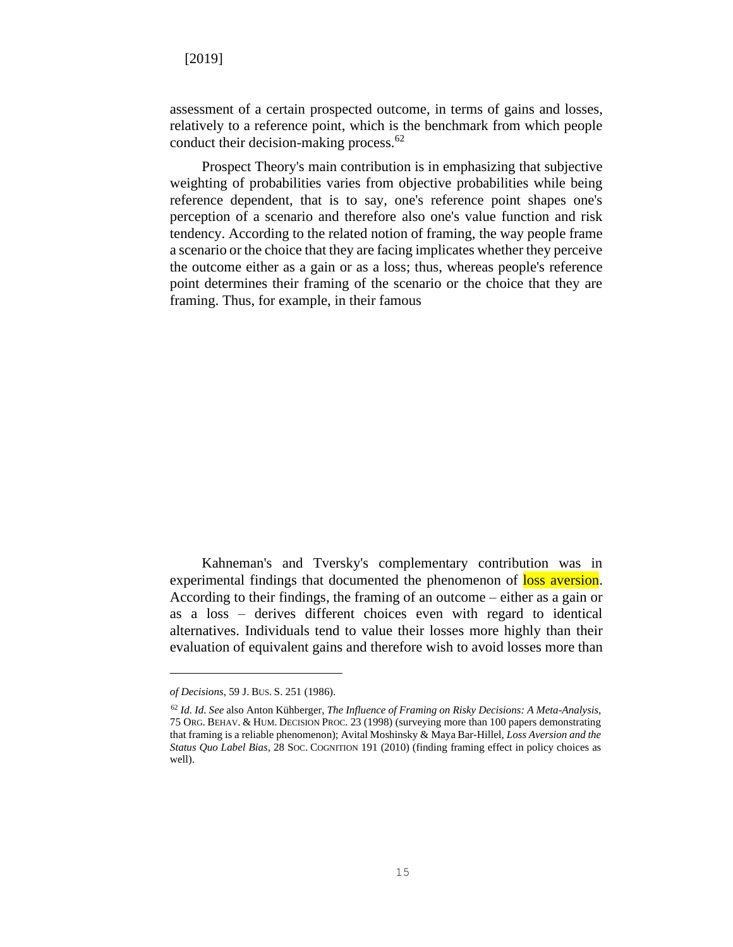assessment of a certain prospected outcome, in terms of gains and losses, relatively to a reference point, which is the benchmark from which people conduct their decision-making process.<sup>62</sup>

Prospect Theory's main contribution is in emphasizing that subjective weighting of probabilities varies from objective probabilities while being reference dependent, that is to say, one's reference point shapes one's perception of a scenario and therefore also one's value function and risk tendency. According to the related notion of framing, the way people frame a scenario or the choice that they are facing implicates whether they perceive the outcome either as a gain or as a loss; thus, whereas people's reference point determines their framing of the scenario or the choice that they are framing. Thus, for example, in their famous

Kahneman's and Tversky's complementary contribution was in experimental findings that documented the phenomenon of loss aversion. According to their findings, the framing of an outcome – either as a gain or as a loss – derives different choices even with regard to identical alternatives. Individuals tend to value their losses more highly than their evaluation of equivalent gains and therefore wish to avoid losses more than

*of Decisions*, 59 J. BUS. S. 251 (1986).

<sup>62</sup> *Id. Id. See* also Anton Kühberger, *The Influence of Framing on Risky Decisions: A Meta-Analysis*, 75 ORG. BEHAV. & HUM. DECISION PROC. 23 (1998) (surveying more than 100 papers demonstrating that framing is a reliable phenomenon); Avital Moshinsky & Maya Bar-Hillel, *Loss Aversion and the Status Quo Label Bias,* 28 SOC. COGNITION 191 (2010) (finding framing effect in policy choices as well).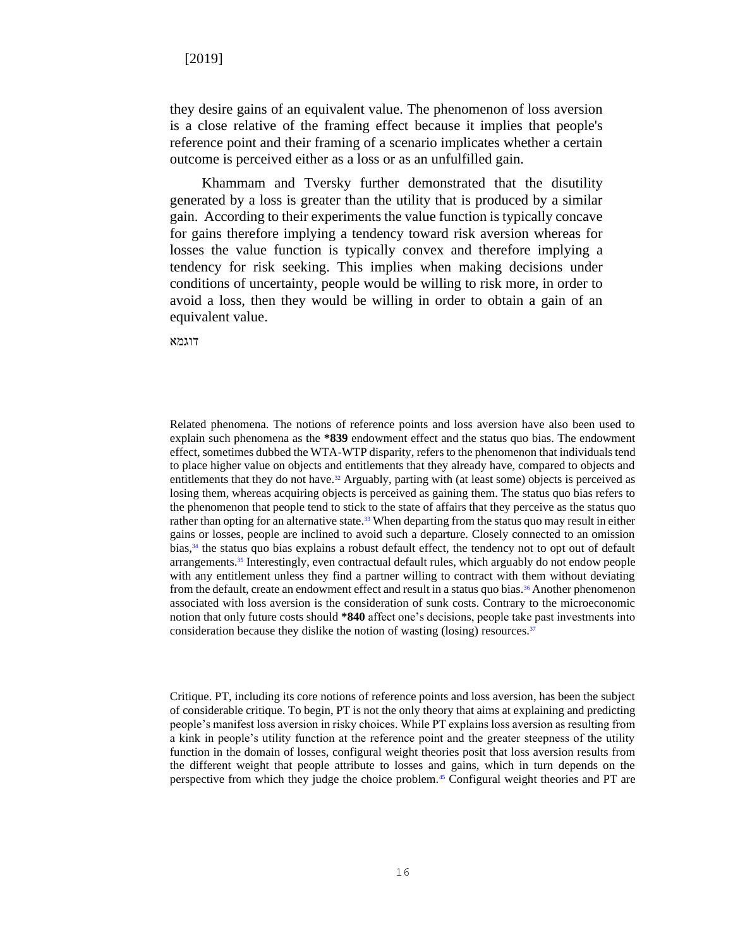they desire gains of an equivalent value. The phenomenon of loss aversion is a close relative of the framing effect because it implies that people's reference point and their framing of a scenario implicates whether a certain outcome is perceived either as a loss or as an unfulfilled gain.

Khammam and Tversky further demonstrated that the disutility generated by a loss is greater than the utility that is produced by a similar gain. According to their experiments the value function is typically concave for gains therefore implying a tendency toward risk aversion whereas for losses the value function is typically convex and therefore implying a tendency for risk seeking. This implies when making decisions under conditions of uncertainty, people would be willing to risk more, in order to avoid a loss, then they would be willing in order to obtain a gain of an equivalent value.

דוגמא

Related phenomena. The notions of reference points and loss aversion have also been used to explain such phenomena as the **\*839** endowment effect and the status quo bias. The endowment effect, sometimes dubbed the WTA-WTP disparity, refers to the phenomenon that individuals tend to place higher value on objects and entitlements that they already have, compared to objects and entitlements that they do not have.<sup>32</sup> Arguably, parting with (at least some) objects is perceived as losing them, whereas acquiring objects is perceived as gaining them. The status quo bias refers to the phenomenon that people tend to stick to the state of affairs that they perceive as the status quo rather than opting for an alternative state.<sup>33</sup> When departing from the status quo may result in either gains or losses, people are inclined to avoid such a departure. Closely connected to an omission bias, <sup>34</sup> the status quo bias explains a robust default effect, the tendency not to opt out of default arrangements.<sup>35</sup> Interestingly, even contractual default rules, which arguably do not endow people with any entitlement unless they find a partner willing to contract with them without deviating from the default, create an endowment effect and result in a status quo bias.<sup>36</sup> Another phenomenon associated with loss aversion is the consideration of sunk costs. Contrary to the microeconomic notion that only future costs should **\*840** affect one's decisions, people take past investments into consideration because they dislike the notion of wasting (losing) resources. $37$ 

Critique. PT, including its core notions of reference points and loss aversion, has been the subject of considerable critique. To begin, PT is not the only theory that aims at explaining and predicting people's manifest loss aversion in risky choices. While PT explains loss aversion as resulting from a kink in people's utility function at the reference point and the greater steepness of the utility function in the domain of losses, configural weight theories posit that loss aversion results from the different weight that people attribute to losses and gains, which in turn depends on the perspective from which they judge the choice problem.<sup>45</sup> Configural weight theories and PT are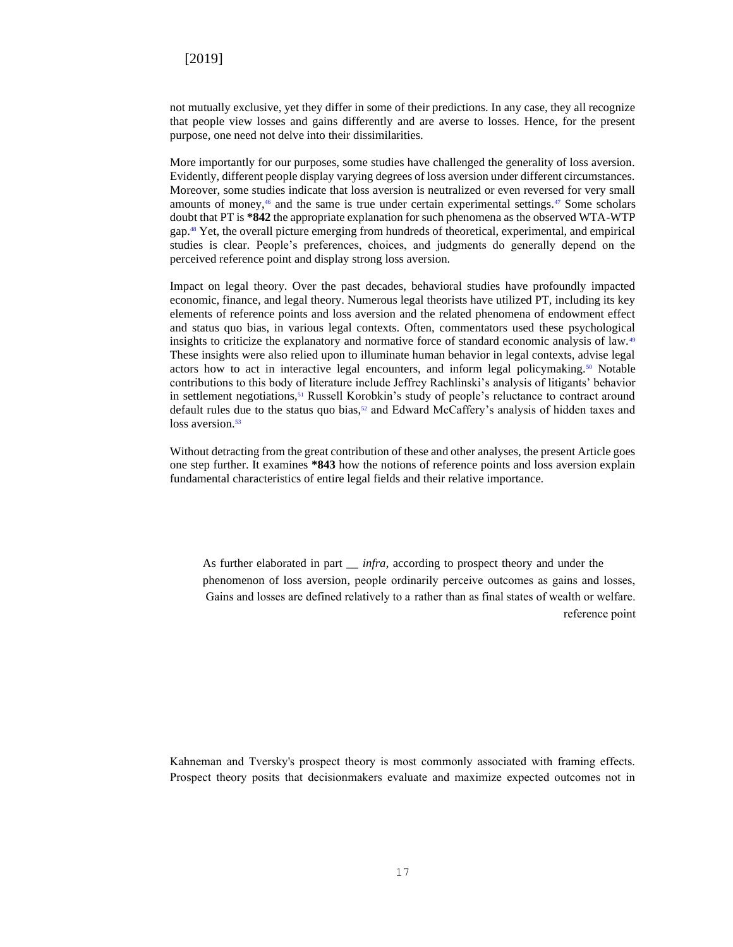not mutually exclusive, yet they differ in some of their predictions. In any case, they all recognize that people view losses and gains differently and are averse to losses. Hence, for the present purpose, one need not delve into their dissimilarities.

More importantly for our purposes, some studies have challenged the generality of loss aversion. Evidently, different people display varying degrees of loss aversion under different circumstances. Moreover, some studies indicate that loss aversion is neutralized or even reversed for very small amounts of money,<sup>46</sup> and the same is true under certain experimental settings.<sup>47</sup> Some scholars doubt that PT is **\*842** the appropriate explanation for such phenomena as the observed WTA-WTP gap.<sup>48</sup> Yet, the overall picture emerging from hundreds of theoretical, experimental, and empirical studies is clear. People's preferences, choices, and judgments do generally depend on the perceived reference point and display strong loss aversion.

Impact on legal theory. Over the past decades, behavioral studies have profoundly impacted economic, finance, and legal theory. Numerous legal theorists have utilized PT, including its key elements of reference points and loss aversion and the related phenomena of endowment effect and status quo bias, in various legal contexts. Often, commentators used these psychological insights to criticize the explanatory and normative force of standard economic analysis of law.<sup>49</sup> These insights were also relied upon to illuminate human behavior in legal contexts, advise legal actors how to act in interactive legal encounters, and inform legal policymaking. $50$  Notable contributions to this body of literature include Jeffrey Rachlinski's analysis of litigants' behavior in settlement negotiations,<sup>51</sup> Russell Korobkin's study of people's reluctance to contract around default rules due to the status quo bias, $52$  and Edward McCaffery's analysis of hidden taxes and loss aversion.<sup>53</sup>

Without detracting from the great contribution of these and other analyses, the present Article goes one step further. It examines **\*843** how the notions of reference points and loss aversion explain fundamental characteristics of entire legal fields and their relative importance.

As further elaborated in part \_\_ *infra*, according to prospect theory and under the phenomenon of loss aversion, people ordinarily perceive outcomes as gains and losses, Gains and losses are defined relatively to a rather than as final states of wealth or welfare. reference point

Kahneman and Tversky's prospect theory is most commonly associated with framing effects. Prospect theory posits that decisionmakers evaluate and maximize expected outcomes not in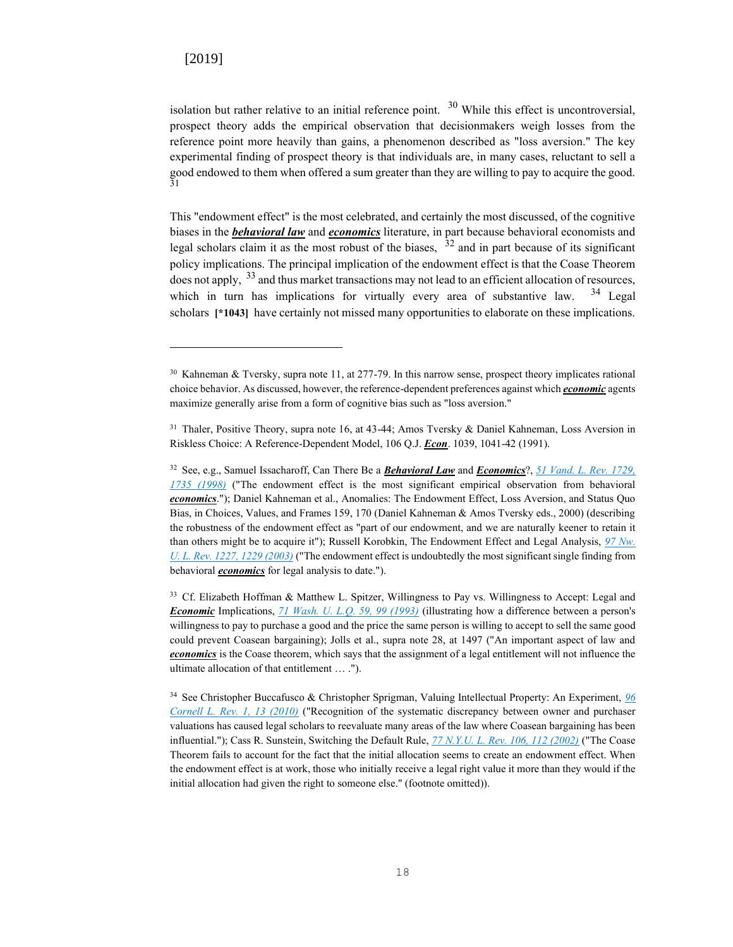isolation but rather relative to an initial reference point.  $30$  While this effect is uncontroversial, prospect theory adds the empirical observation that decisionmakers weigh losses from the reference point more heavily than gains, a phenomenon described as "loss aversion." The key experimental finding of prospect theory is that individuals are, in many cases, reluctant to sell a good endowed to them when offered a sum greater than they are willing to pay to acquire the good. 31

This "endowment effect" is the most celebrated, and certainly the most discussed, of the cognitive biases in the *behavioral law* and *economics* literature, in part because behavioral economists and legal scholars claim it as the most robust of the biases,  $32$  and in part because of its significant policy implications. The principal implication of the endowment effect is that the Coase Theorem does not apply,  $33$  and thus market transactions may not lead to an efficient allocation of resources, which in turn has implications for virtually every area of substantive law.  $34$  Legal scholars **[\*1043]** have certainly not missed many opportunities to elaborate on these implications.

<sup>33</sup> Cf. Elizabeth Hoffman & Matthew L. Spitzer, Willingness to Pay vs. Willingness to Accept: Legal and *Economic* Implications, *[71 Wash. U. L.Q. 59, 99 \(1993\)](http://advance.lexis.com/api/document?collection=analytical-materials&id=urn:contentItem:479K-PCG0-00CW-303V-00000-00&context=)* (illustrating how a difference between a person's willingness to pay to purchase a good and the price the same person is willing to accept to sell the same good could prevent Coasean bargaining); Jolls et al., supra note 28, at 1497 ("An important aspect of law and *economics* is the Coase theorem, which says that the assignment of a legal entitlement will not influence the ultimate allocation of that entitlement … .").

<sup>34</sup> See Christopher Buccafusco & Christopher Sprigman, Valuing Intellectual Property: An Experiment, *[96](http://advance.lexis.com/api/document?collection=analytical-materials&id=urn:contentItem:51FP-G510-00CW-80N4-00000-00&context=)  [Cornell L. Rev. 1, 13 \(2010\)](http://advance.lexis.com/api/document?collection=analytical-materials&id=urn:contentItem:51FP-G510-00CW-80N4-00000-00&context=)* ("Recognition of the systematic discrepancy between owner and purchaser valuations has caused legal scholars to reevaluate many areas of the law where Coasean bargaining has been influential."); Cass R. Sunstein, Switching the Default Rule, *[77 N.Y.U. L. Rev. 106, 112 \(2002\)](http://advance.lexis.com/api/document?collection=analytical-materials&id=urn:contentItem:45JB-HF40-00CW-72RM-00000-00&context=)* ("The Coase Theorem fails to account for the fact that the initial allocation seems to create an endowment effect. When the endowment effect is at work, those who initially receive a legal right value it more than they would if the initial allocation had given the right to someone else." (footnote omitted)).

<sup>30</sup> Kahneman & Tversky, supra note 11, at 277-79. In this narrow sense, prospect theory implicates rational choice behavior. As discussed, however, the reference-dependent preferences against which *economic* agents maximize generally arise from a form of cognitive bias such as "loss aversion."

<sup>&</sup>lt;sup>31</sup> Thaler, Positive Theory, supra note 16, at 43-44; Amos Tversky & Daniel Kahneman, Loss Aversion in Riskless Choice: A Reference-Dependent Model, 106 Q.J. *Econ*. 1039, 1041-42 (1991).

<sup>32</sup> See, e.g., Samuel Issacharoff, Can There Be a *Behavioral Law* and *Economics*?, *[51 Vand. L. Rev. 1729,](http://advance.lexis.com/api/document?collection=analytical-materials&id=urn:contentItem:3VNG-N420-00CW-703M-00000-00&context=)  [1735 \(1998\)](http://advance.lexis.com/api/document?collection=analytical-materials&id=urn:contentItem:3VNG-N420-00CW-703M-00000-00&context=)* ("The endowment effect is the most significant empirical observation from behavioral *economics*."); Daniel Kahneman et al., Anomalies: The Endowment Effect, Loss Aversion, and Status Quo Bias, in Choices, Values, and Frames 159, 170 (Daniel Kahneman & Amos Tversky eds., 2000) (describing the robustness of the endowment effect as "part of our endowment, and we are naturally keener to retain it than others might be to acquire it"); Russell Korobkin, The Endowment Effect and Legal Analysis, *[97 Nw.](http://advance.lexis.com/api/document?collection=analytical-materials&id=urn:contentItem:48NB-4270-00CW-00C3-00000-00&context=)  [U. L. Rev. 1227, 1229 \(2003\)](http://advance.lexis.com/api/document?collection=analytical-materials&id=urn:contentItem:48NB-4270-00CW-00C3-00000-00&context=)* ("The endowment effect is undoubtedly the most significant single finding from behavioral *economics* for legal analysis to date.").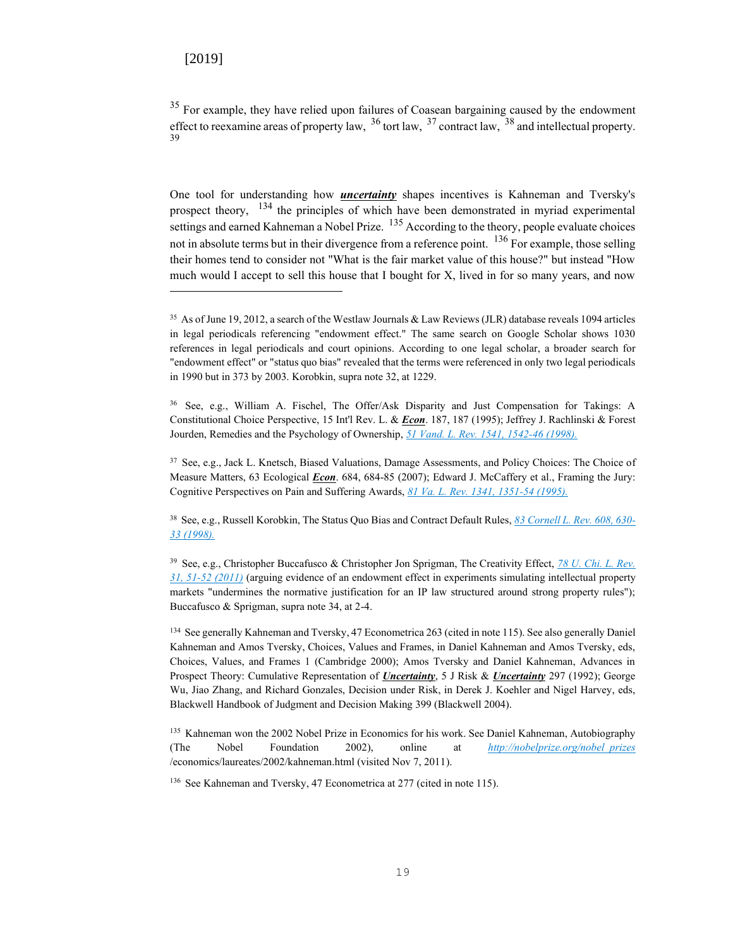<sup>35</sup> For example, they have relied upon failures of Coasean bargaining caused by the endowment effect to reexamine areas of property law,  $36$  tort law,  $37$  contract law,  $38$  and intellectual property. 39

One tool for understanding how *uncertainty* shapes incentives is Kahneman and Tversky's prospect theory,  $134$  the principles of which have been demonstrated in myriad experimental settings and earned Kahneman a Nobel Prize. <sup>135</sup> According to the theory, people evaluate choices not in absolute terms but in their divergence from a reference point. <sup>136</sup> For example, those selling their homes tend to consider not "What is the fair market value of this house?" but instead "How much would I accept to sell this house that I bought for X, lived in for so many years, and now

<sup>38</sup> See, e.g., Russell Korobkin, The Status Quo Bias and Contract Default Rules, *[83 Cornell L. Rev. 608, 630-](http://advance.lexis.com/api/document?collection=analytical-materials&id=urn:contentItem:3SD5-15G0-00CW-846T-00000-00&context=) [33 \(1998\).](http://advance.lexis.com/api/document?collection=analytical-materials&id=urn:contentItem:3SD5-15G0-00CW-846T-00000-00&context=)*

<sup>39</sup> See, e.g., Christopher Buccafusco & Christopher Jon Sprigman, The Creativity Effect, *[78 U. Chi. L. Rev.](http://advance.lexis.com/api/document?collection=analytical-materials&id=urn:contentItem:52SV-9080-00CV-K0FT-00000-00&context=)  [31, 51-52 \(2011\)](http://advance.lexis.com/api/document?collection=analytical-materials&id=urn:contentItem:52SV-9080-00CV-K0FT-00000-00&context=)* (arguing evidence of an endowment effect in experiments simulating intellectual property markets "undermines the normative justification for an IP law structured around strong property rules"); Buccafusco & Sprigman, supra note 34, at 2-4.

<sup>134</sup> See generally Kahneman and Tversky, 47 Econometrica 263 (cited in note 115). See also generally Daniel Kahneman and Amos Tversky, Choices, Values and Frames, in Daniel Kahneman and Amos Tversky, eds, Choices, Values, and Frames 1 (Cambridge 2000); Amos Tversky and Daniel Kahneman, Advances in Prospect Theory: Cumulative Representation of *Uncertainty*, 5 J Risk & *Uncertainty* 297 (1992); George Wu, Jiao Zhang, and Richard Gonzales, Decision under Risk, in Derek J. Koehler and Nigel Harvey, eds, Blackwell Handbook of Judgment and Decision Making 399 (Blackwell 2004).

<sup>135</sup> Kahneman won the 2002 Nobel Prize in Economics for his work. See Daniel Kahneman, Autobiography (The Nobel Foundation 2002), online at *[http://nobelprize.org/nobel\\_prizes](http://nobelprize.org/nobel_prizes)* /economics/laureates/2002/kahneman.html (visited Nov 7, 2011).

<sup>136</sup> See Kahneman and Tversky, 47 Econometrica at 277 (cited in note 115).

<sup>35</sup> As of June 19, 2012, a search of the Westlaw Journals & Law Reviews (JLR) database reveals 1094 articles in legal periodicals referencing "endowment effect." The same search on Google Scholar shows 1030 references in legal periodicals and court opinions. According to one legal scholar, a broader search for "endowment effect" or "status quo bias" revealed that the terms were referenced in only two legal periodicals in 1990 but in 373 by 2003. Korobkin, supra note 32, at 1229.

<sup>36</sup> See, e.g., William A. Fischel, The Offer/Ask Disparity and Just Compensation for Takings: A Constitutional Choice Perspective, 15 Int'l Rev. L. & *Econ*. 187, 187 (1995); Jeffrey J. Rachlinski & Forest Jourden, Remedies and the Psychology of Ownership, *[51 Vand. L. Rev. 1541, 1542-46 \(1998\).](http://advance.lexis.com/api/document?collection=analytical-materials&id=urn:contentItem:3VNG-N400-00CW-703F-00000-00&context=)*

<sup>37</sup> See, e.g., Jack L. Knetsch, Biased Valuations, Damage Assessments, and Policy Choices: The Choice of Measure Matters, 63 Ecological *Econ*. 684, 684-85 (2007); Edward J. McCaffery et al., Framing the Jury: Cognitive Perspectives on Pain and Suffering Awards, *[81 Va. L. Rev. 1341, 1351-54 \(1995\).](http://advance.lexis.com/api/document?collection=analytical-materials&id=urn:contentItem:3S41-43N0-00CV-555D-00000-00&context=)*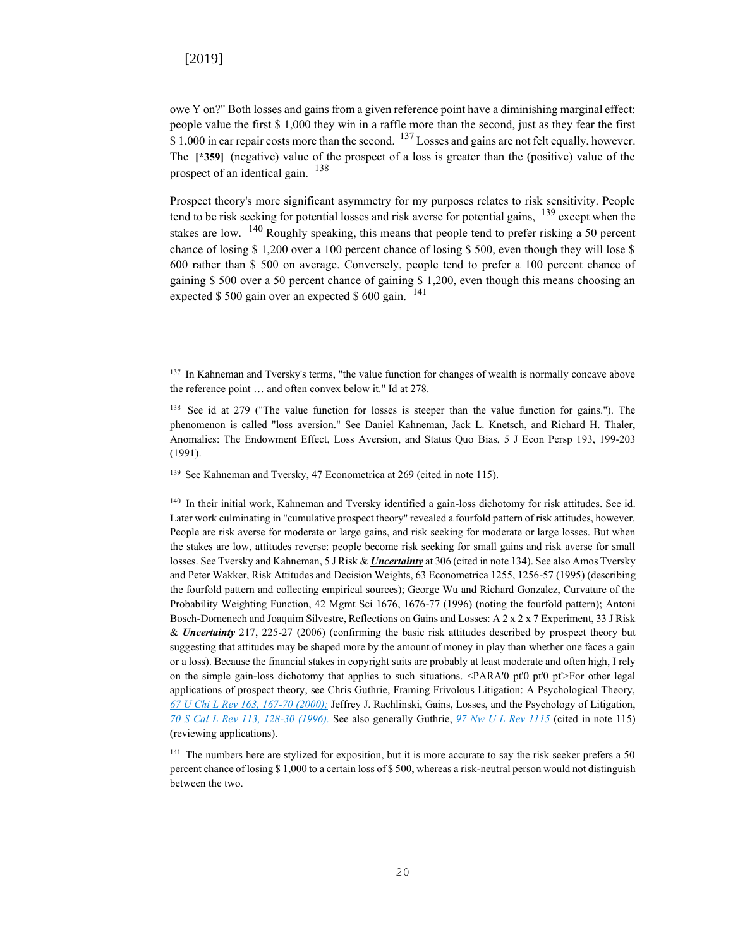owe Y on?" Both losses and gains from a given reference point have a diminishing marginal effect: people value the first \$ 1,000 they win in a raffle more than the second, just as they fear the first  $$ 1,000$  in car repair costs more than the second.  $^{137}$  Losses and gains are not felt equally, however. The **[\*359]** (negative) value of the prospect of a loss is greater than the (positive) value of the prospect of an identical gain. <sup>138</sup>

Prospect theory's more significant asymmetry for my purposes relates to risk sensitivity. People tend to be risk seeking for potential losses and risk averse for potential gains,  $139$  except when the stakes are low. <sup>140</sup> Roughly speaking, this means that people tend to prefer risking a 50 percent chance of losing \$ 1,200 over a 100 percent chance of losing \$ 500, even though they will lose \$ 600 rather than \$ 500 on average. Conversely, people tend to prefer a 100 percent chance of gaining \$ 500 over a 50 percent chance of gaining \$ 1,200, even though this means choosing an expected  $$500$  gain over an expected  $$600$  gain. <sup>141</sup>

<sup>140</sup> In their initial work, Kahneman and Tversky identified a gain-loss dichotomy for risk attitudes. See id. Later work culminating in "cumulative prospect theory" revealed a fourfold pattern of risk attitudes, however. People are risk averse for moderate or large gains, and risk seeking for moderate or large losses. But when the stakes are low, attitudes reverse: people become risk seeking for small gains and risk averse for small losses. See Tversky and Kahneman, 5 J Risk & *Uncertainty* at 306 (cited in note 134). See also Amos Tversky and Peter Wakker, Risk Attitudes and Decision Weights, 63 Econometrica 1255, 1256-57 (1995) (describing the fourfold pattern and collecting empirical sources); George Wu and Richard Gonzalez, Curvature of the Probability Weighting Function, 42 Mgmt Sci 1676, 1676-77 (1996) (noting the fourfold pattern); Antoni Bosch-Domenech and Joaquim Silvestre, Reflections on Gains and Losses: A 2 x 2 x 7 Experiment, 33 J Risk & *Uncertainty* 217, 225-27 (2006) (confirming the basic risk attitudes described by prospect theory but suggesting that attitudes may be shaped more by the amount of money in play than whether one faces a gain or a loss). Because the financial stakes in copyright suits are probably at least moderate and often high, I rely on the simple gain-loss dichotomy that applies to such situations. <PARA'0 pt'0 pt'0 pt'>For other legal applications of prospect theory, see Chris Guthrie, Framing Frivolous Litigation: A Psychological Theory, *[67 U Chi L Rev 163, 167-70 \(2000\);](http://advance.lexis.com/api/document?collection=analytical-materials&id=urn:contentItem:3YPC-VDV0-00CV-K0CW-00000-00&context=)* Jeffrey J. Rachlinski, Gains, Losses, and the Psychology of Litigation, *[70 S Cal L Rev 113, 128-30 \(1996\).](http://advance.lexis.com/api/document?collection=analytical-materials&id=urn:contentItem:3S41-5P70-00CV-51P1-00000-00&context=)* See also generally Guthrie, *[97 Nw U L Rev 1115](http://advance.lexis.com/api/document?collection=analytical-materials&id=urn:contentItem:48NB-4270-00CW-00C1-00000-00&context=)* (cited in note 115) (reviewing applications).

<sup>141</sup> The numbers here are stylized for exposition, but it is more accurate to say the risk seeker prefers a 50 percent chance of losing \$ 1,000 to a certain loss of \$ 500, whereas a risk-neutral person would not distinguish between the two.

<sup>&</sup>lt;sup>137</sup> In Kahneman and Tversky's terms, "the value function for changes of wealth is normally concave above the reference point … and often convex below it." Id at 278.

<sup>138</sup> See id at 279 ("The value function for losses is steeper than the value function for gains."). The phenomenon is called "loss aversion." See Daniel Kahneman, Jack L. Knetsch, and Richard H. Thaler, Anomalies: The Endowment Effect, Loss Aversion, and Status Quo Bias, 5 J Econ Persp 193, 199-203 (1991).

<sup>&</sup>lt;sup>139</sup> See Kahneman and Tversky, 47 Econometrica at 269 (cited in note 115).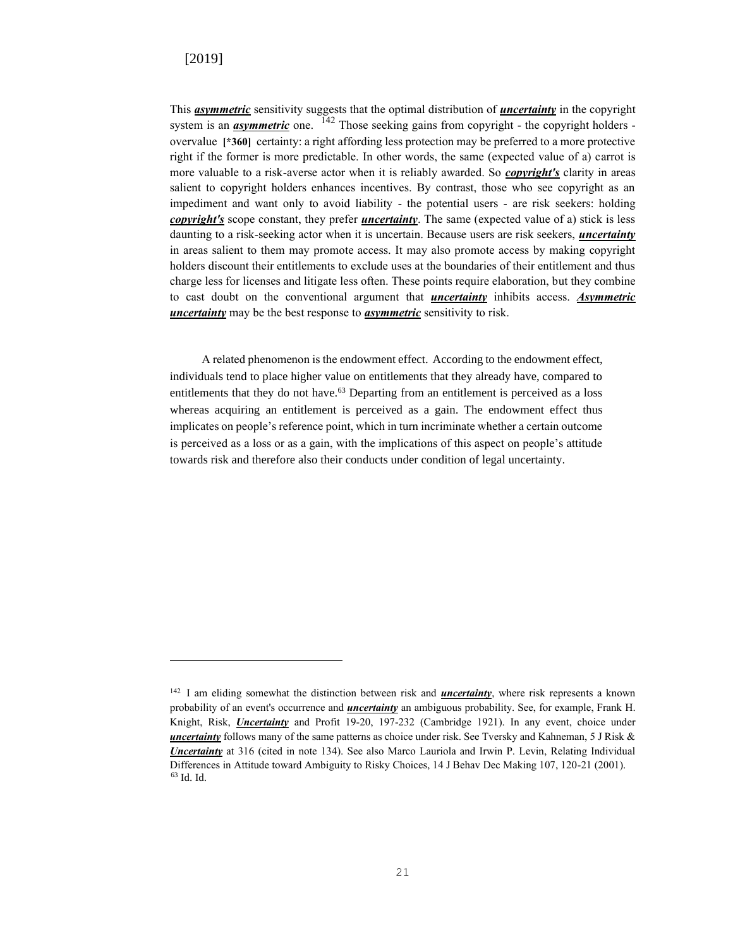This *asymmetric* sensitivity suggests that the optimal distribution of *uncertainty* in the copyright system is an *asymmetric* one. <sup>142</sup> Those seeking gains from copyright - the copyright holders overvalue **[\*360]** certainty: a right affording less protection may be preferred to a more protective right if the former is more predictable. In other words, the same (expected value of a) carrot is more valuable to a risk-averse actor when it is reliably awarded. So *copyright's* clarity in areas salient to copyright holders enhances incentives. By contrast, those who see copyright as an impediment and want only to avoid liability - the potential users - are risk seekers: holding *copyright's* scope constant, they prefer *uncertainty*. The same (expected value of a) stick is less daunting to a risk-seeking actor when it is uncertain. Because users are risk seekers, *uncertainty* in areas salient to them may promote access. It may also promote access by making copyright holders discount their entitlements to exclude uses at the boundaries of their entitlement and thus charge less for licenses and litigate less often. These points require elaboration, but they combine to cast doubt on the conventional argument that *uncertainty* inhibits access. *Asymmetric uncertainty* may be the best response to *asymmetric* sensitivity to risk.

A related phenomenon is the endowment effect. According to the endowment effect, individuals tend to place higher value on entitlements that they already have, compared to entitlements that they do not have.<sup>63</sup> Departing from an entitlement is perceived as a loss whereas acquiring an entitlement is perceived as a gain. The endowment effect thus implicates on people's reference point, which in turn incriminate whether a certain outcome is perceived as a loss or as a gain, with the implications of this aspect on people's attitude towards risk and therefore also their conducts under condition of legal uncertainty.

<sup>142</sup> I am eliding somewhat the distinction between risk and *uncertainty*, where risk represents a known probability of an event's occurrence and *uncertainty* an ambiguous probability. See, for example, Frank H. Knight, Risk, *Uncertainty* and Profit 19-20, 197-232 (Cambridge 1921). In any event, choice under *uncertainty* follows many of the same patterns as choice under risk. See Tversky and Kahneman, 5 J Risk & *Uncertainty* at 316 (cited in note 134). See also Marco Lauriola and Irwin P. Levin, Relating Individual Differences in Attitude toward Ambiguity to Risky Choices, 14 J Behav Dec Making 107, 120-21 (2001). <sup>63</sup> Id. Id.